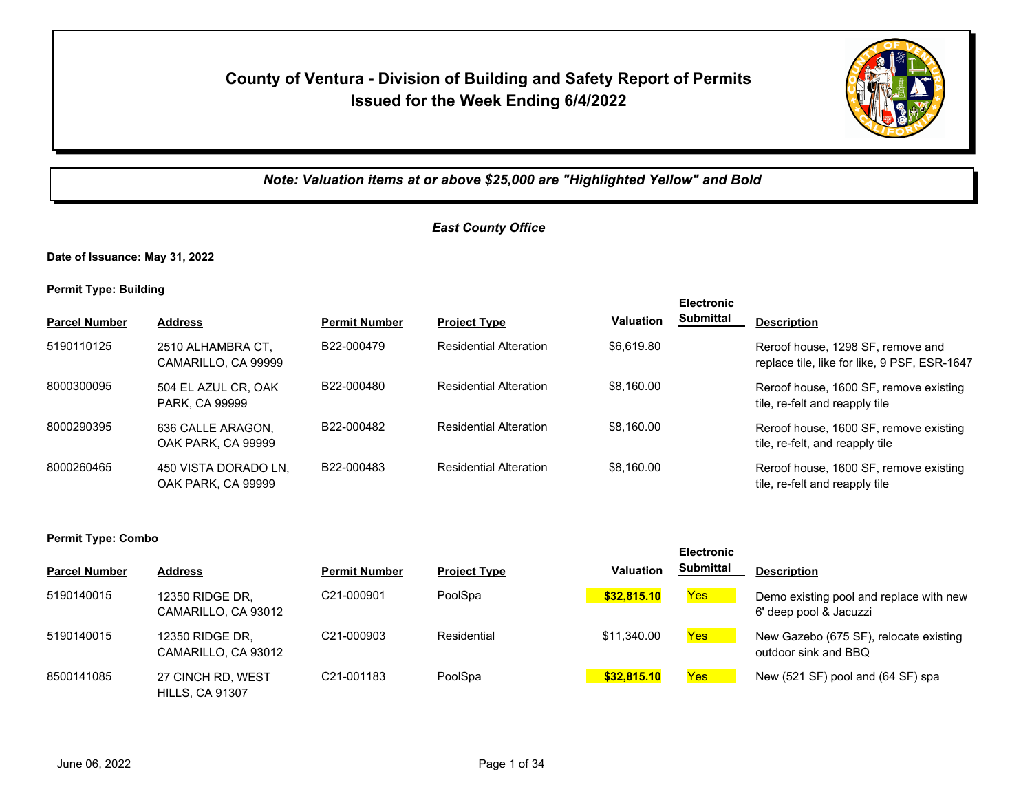## **County of Ventura - Division of Building and Safety Report of Permits Issued for the Week Ending 6/4/2022**



*Note: Valuation items at or above \$25,000 are "Highlighted Yellow" and Bold*

## *East County Office*

**Date of Issuance: May 31, 2022**

**Permit Type: Building**

|                      |                                            |                         |                               |                  | <b>Electronic</b> |                                                                                   |
|----------------------|--------------------------------------------|-------------------------|-------------------------------|------------------|-------------------|-----------------------------------------------------------------------------------|
| <b>Parcel Number</b> | <b>Address</b>                             | <b>Permit Number</b>    | <b>Project Type</b>           | <b>Valuation</b> | Submittal         | <b>Description</b>                                                                |
| 5190110125           | 2510 ALHAMBRA CT.<br>CAMARILLO, CA 99999   | B22-000479              | <b>Residential Alteration</b> | \$6,619.80       |                   | Reroof house, 1298 SF, remove and<br>replace tile, like for like, 9 PSF, ESR-1647 |
| 8000300095           | 504 EL AZUL CR, OAK<br>PARK, CA 99999      | B22-000480              | <b>Residential Alteration</b> | \$8,160.00       |                   | Reroof house, 1600 SF, remove existing<br>tile, re-felt and reapply tile          |
| 8000290395           | 636 CALLE ARAGON,<br>OAK PARK, CA 99999    | B22-000482              | <b>Residential Alteration</b> | \$8,160.00       |                   | Reroof house, 1600 SF, remove existing<br>tile, re-felt, and reapply tile         |
| 8000260465           | 450 VISTA DORADO LN,<br>OAK PARK, CA 99999 | B <sub>22</sub> -000483 | <b>Residential Alteration</b> | \$8,160.00       |                   | Reroof house, 1600 SF, remove existing<br>tile, re-felt and reapply tile          |

#### **Permit Type: Combo**

| <b>Parcel Number</b> | <b>Address</b>                              | <b>Permit Number</b> | <b>Project Type</b> | <b>Valuation</b> | <b>Submittal</b> | <b>Description</b>                                                |
|----------------------|---------------------------------------------|----------------------|---------------------|------------------|------------------|-------------------------------------------------------------------|
| 5190140015           | 12350 RIDGE DR.<br>CAMARILLO, CA 93012      | C21-000901           | PoolSpa             | \$32,815,10      | <b>Yes</b>       | Demo existing pool and replace with new<br>6' deep pool & Jacuzzi |
| 5190140015           | 12350 RIDGE DR.<br>CAMARILLO, CA 93012      | C21-000903           | Residential         | \$11.340.00      | Yes              | New Gazebo (675 SF), relocate existing<br>outdoor sink and BBQ    |
| 8500141085           | 27 CINCH RD, WEST<br><b>HILLS, CA 91307</b> | C21-001183           | PoolSpa             | \$32,815,10      | Yes              | New (521 SF) pool and (64 SF) spa                                 |

**Electronic**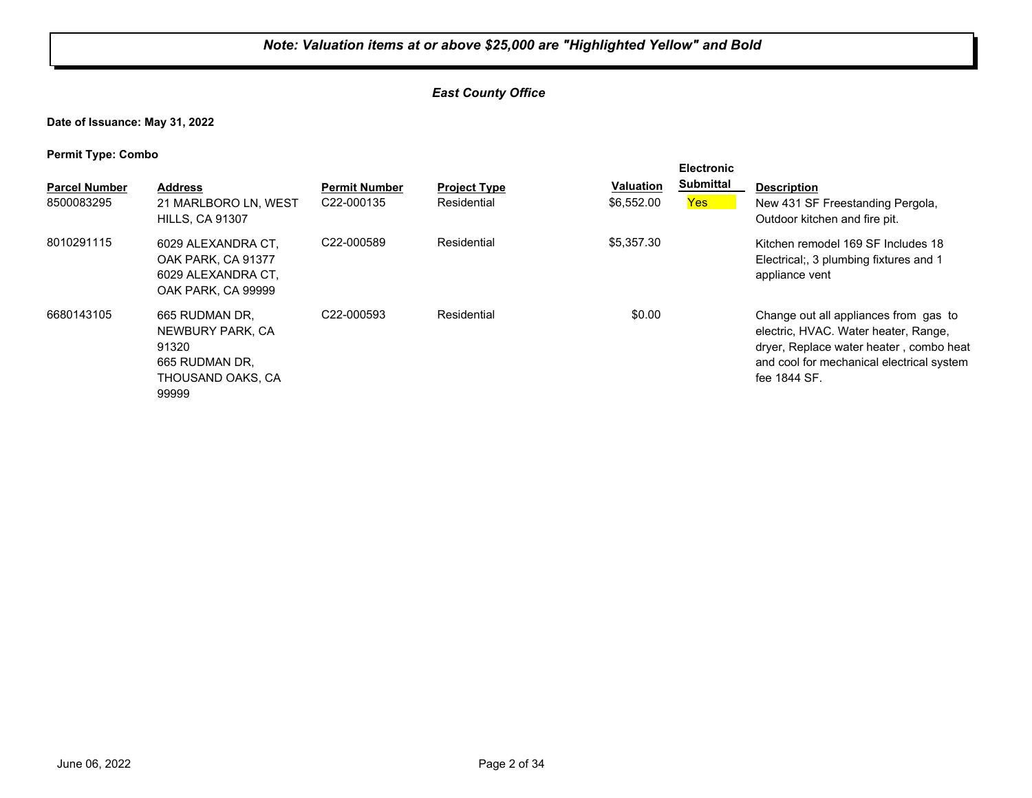## *East County Office*

**Date of Issuance: May 31, 2022**

**Permit Type: Combo**

| <b>Parcel Number</b><br>8500083295 | <b>Address</b><br>21 MARLBORO LN, WEST<br><b>HILLS, CA 91307</b>                            | <b>Permit Number</b><br>C <sub>22</sub> -000135 | <b>Project Type</b><br>Residential | <b>Valuation</b><br>\$6,552.00 | <b>Electronic</b><br><b>Submittal</b><br>Yes | <b>Description</b><br>New 431 SF Freestanding Pergola,<br>Outdoor kitchen and fire pit.                                                                                               |
|------------------------------------|---------------------------------------------------------------------------------------------|-------------------------------------------------|------------------------------------|--------------------------------|----------------------------------------------|---------------------------------------------------------------------------------------------------------------------------------------------------------------------------------------|
| 8010291115                         | 6029 ALEXANDRA CT.<br>OAK PARK, CA 91377<br>6029 ALEXANDRA CT.<br>OAK PARK, CA 99999        | C <sub>22</sub> -000589                         | Residential                        | \$5,357.30                     |                                              | Kitchen remodel 169 SF Includes 18<br>Electrical; 3 plumbing fixtures and 1<br>appliance vent                                                                                         |
| 6680143105                         | 665 RUDMAN DR.<br>NEWBURY PARK, CA<br>91320<br>665 RUDMAN DR.<br>THOUSAND OAKS, CA<br>99999 | C <sub>22</sub> -000593                         | Residential                        | \$0.00                         |                                              | Change out all appliances from gas to<br>electric, HVAC. Water heater, Range,<br>dryer, Replace water heater, combo heat<br>and cool for mechanical electrical system<br>fee 1844 SF. |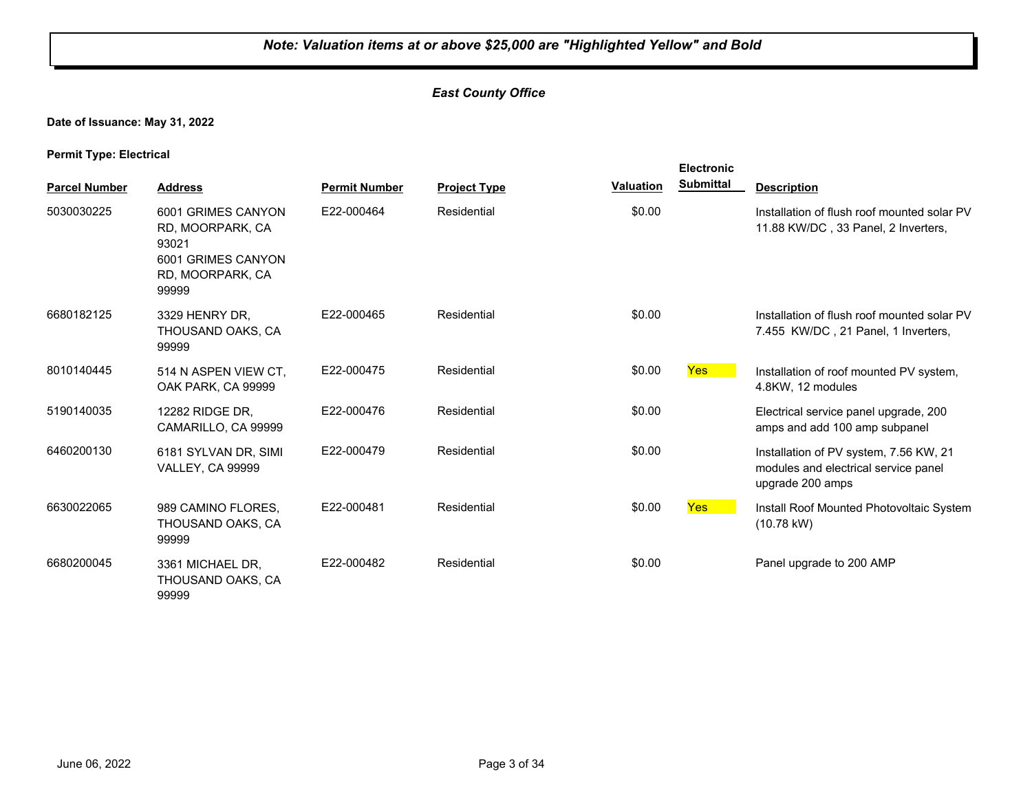## *East County Office*

## **Date of Issuance: May 31, 2022**

**Permit Type: Electrical**

|                      |                                                                                                    |                      |                     |                  | <b>Electronic</b> |                                                                                                    |
|----------------------|----------------------------------------------------------------------------------------------------|----------------------|---------------------|------------------|-------------------|----------------------------------------------------------------------------------------------------|
| <b>Parcel Number</b> | <b>Address</b>                                                                                     | <b>Permit Number</b> | <b>Project Type</b> | <b>Valuation</b> | <b>Submittal</b>  | <b>Description</b>                                                                                 |
| 5030030225           | 6001 GRIMES CANYON<br>RD, MOORPARK, CA<br>93021<br>6001 GRIMES CANYON<br>RD, MOORPARK, CA<br>99999 | E22-000464           | Residential         | \$0.00           |                   | Installation of flush roof mounted solar PV<br>11.88 KW/DC, 33 Panel, 2 Inverters,                 |
| 6680182125           | 3329 HENRY DR,<br>THOUSAND OAKS, CA<br>99999                                                       | E22-000465           | Residential         | \$0.00           |                   | Installation of flush roof mounted solar PV<br>7.455 KW/DC, 21 Panel, 1 Inverters,                 |
| 8010140445           | 514 N ASPEN VIEW CT.<br>OAK PARK, CA 99999                                                         | E22-000475           | Residential         | \$0.00           | <b>Yes</b>        | Installation of roof mounted PV system,<br>4.8KW, 12 modules                                       |
| 5190140035           | 12282 RIDGE DR,<br>CAMARILLO, CA 99999                                                             | E22-000476           | Residential         | \$0.00           |                   | Electrical service panel upgrade, 200<br>amps and add 100 amp subpanel                             |
| 6460200130           | 6181 SYLVAN DR, SIMI<br><b>VALLEY, CA 99999</b>                                                    | E22-000479           | Residential         | \$0.00           |                   | Installation of PV system, 7.56 KW, 21<br>modules and electrical service panel<br>upgrade 200 amps |
| 6630022065           | 989 CAMINO FLORES.<br>THOUSAND OAKS, CA<br>99999                                                   | E22-000481           | Residential         | \$0.00           | Yes               | Install Roof Mounted Photovoltaic System<br>$(10.78 \text{ kW})$                                   |
| 6680200045           | 3361 MICHAEL DR,<br>THOUSAND OAKS, CA<br>99999                                                     | E22-000482           | Residential         | \$0.00           |                   | Panel upgrade to 200 AMP                                                                           |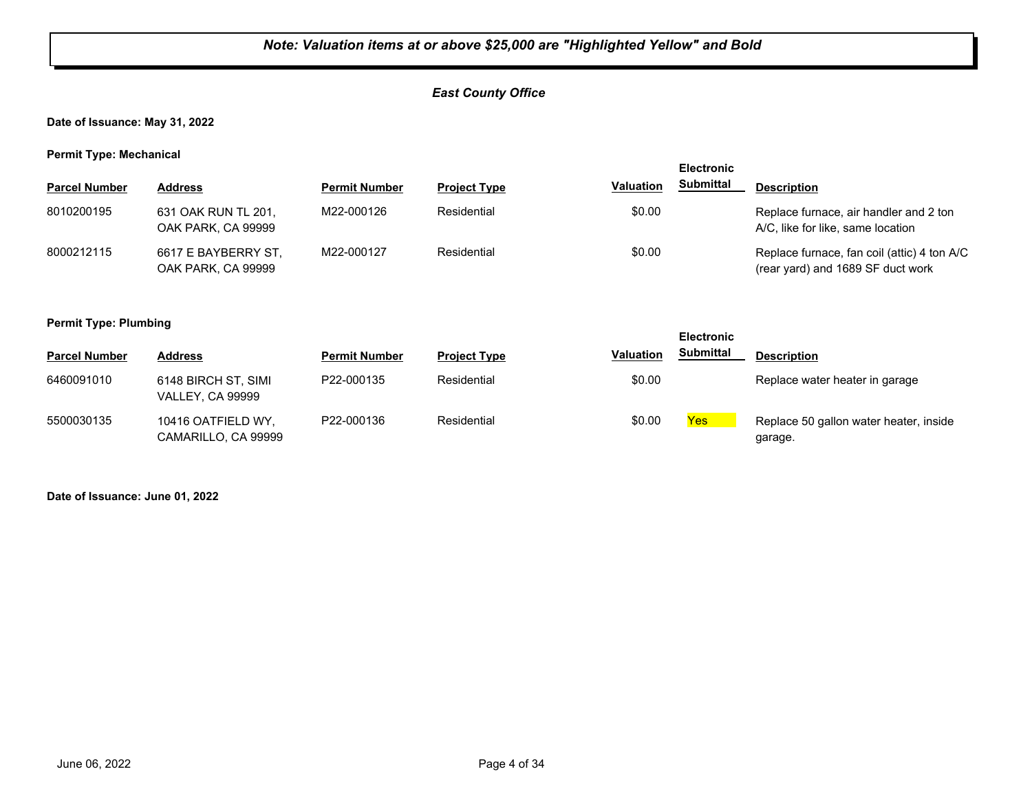## *East County Office*

**Date of Issuance: May 31, 2022**

**Permit Type: Mechanical**

| - -                  |                                           |                      |                     | <b>Electronic</b> |                  |                                                                                  |
|----------------------|-------------------------------------------|----------------------|---------------------|-------------------|------------------|----------------------------------------------------------------------------------|
| <b>Parcel Number</b> | <b>Address</b>                            | <b>Permit Number</b> | <b>Project Type</b> | <b>Valuation</b>  | <b>Submittal</b> | <b>Description</b>                                                               |
| 8010200195           | 631 OAK RUN TL 201,<br>OAK PARK, CA 99999 | M22-000126           | Residential         | \$0.00            |                  | Replace furnace, air handler and 2 ton<br>A/C, like for like, same location      |
| 8000212115           | 6617 E BAYBERRY ST,<br>OAK PARK, CA 99999 | M22-000127           | Residential         | \$0.00            |                  | Replace furnace, fan coil (attic) 4 ton A/C<br>(rear yard) and 1689 SF duct work |

#### **Permit Type: Plumbing**

| --                   |                                                |                      |                     |                  | <b>Electronic</b> |                                                   |
|----------------------|------------------------------------------------|----------------------|---------------------|------------------|-------------------|---------------------------------------------------|
| <b>Parcel Number</b> | <b>Address</b>                                 | <b>Permit Number</b> | <b>Project Type</b> | <b>Valuation</b> | <b>Submittal</b>  | <b>Description</b>                                |
| 6460091010           | 6148 BIRCH ST, SIMI<br><b>VALLEY, CA 99999</b> | P22-000135           | Residential         | \$0.00           |                   | Replace water heater in garage                    |
| 5500030135           | 10416 OATFIELD WY,<br>CAMARILLO, CA 99999      | P22-000136           | Residential         | \$0.00           | Yes               | Replace 50 gallon water heater, inside<br>garage. |

**Date of Issuance: June 01, 2022**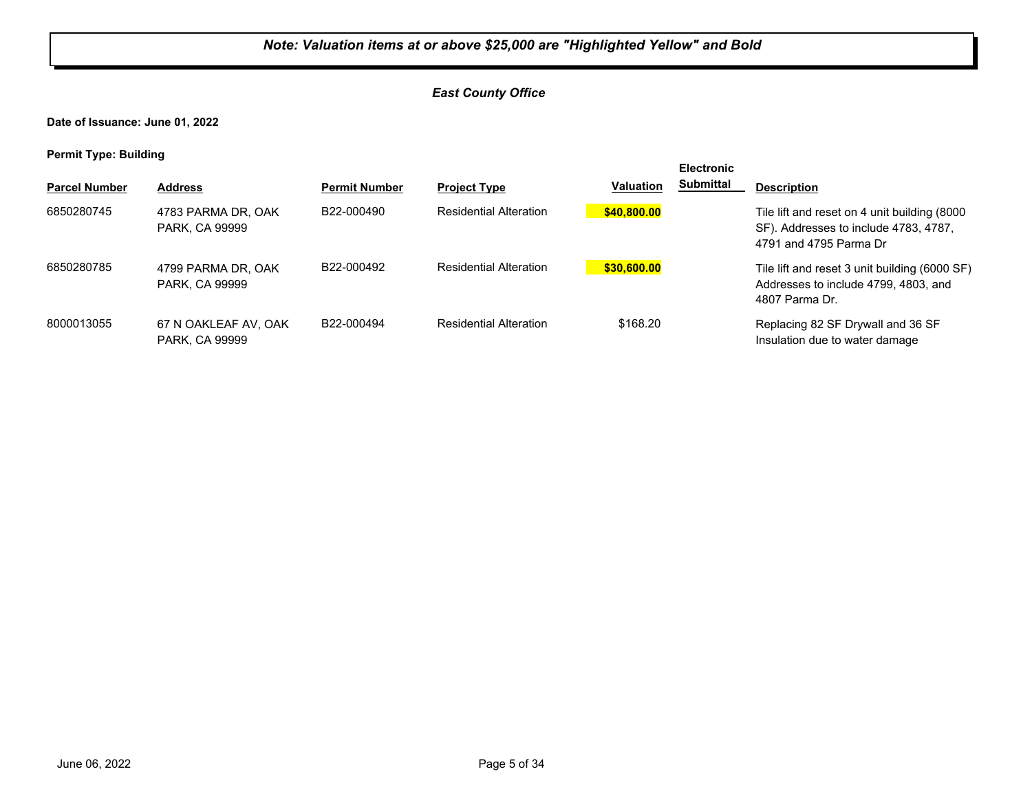## *East County Office*

**Date of Issuance: June 01, 2022**

| . .                  |                                               |                         |                               |                  | <b>Electronic</b> |                                                                                                                 |
|----------------------|-----------------------------------------------|-------------------------|-------------------------------|------------------|-------------------|-----------------------------------------------------------------------------------------------------------------|
| <b>Parcel Number</b> | <b>Address</b>                                | <b>Permit Number</b>    | <b>Project Type</b>           | <b>Valuation</b> | Submittal         | <b>Description</b>                                                                                              |
| 6850280745           | 4783 PARMA DR, OAK<br>PARK, CA 99999          | B22-000490              | <b>Residential Alteration</b> | \$40,800.00      |                   | Tile lift and reset on 4 unit building (8000<br>SF). Addresses to include 4783, 4787,<br>4791 and 4795 Parma Dr |
| 6850280785           | 4799 PARMA DR. OAK<br>PARK, CA 99999          | B <sub>22</sub> -000492 | <b>Residential Alteration</b> | \$30,600.00      |                   | Tile lift and reset 3 unit building (6000 SF)<br>Addresses to include 4799, 4803, and<br>4807 Parma Dr.         |
| 8000013055           | 67 N OAKLEAF AV, OAK<br><b>PARK, CA 99999</b> | B22-000494              | <b>Residential Alteration</b> | \$168.20         |                   | Replacing 82 SF Drywall and 36 SF<br>Insulation due to water damage                                             |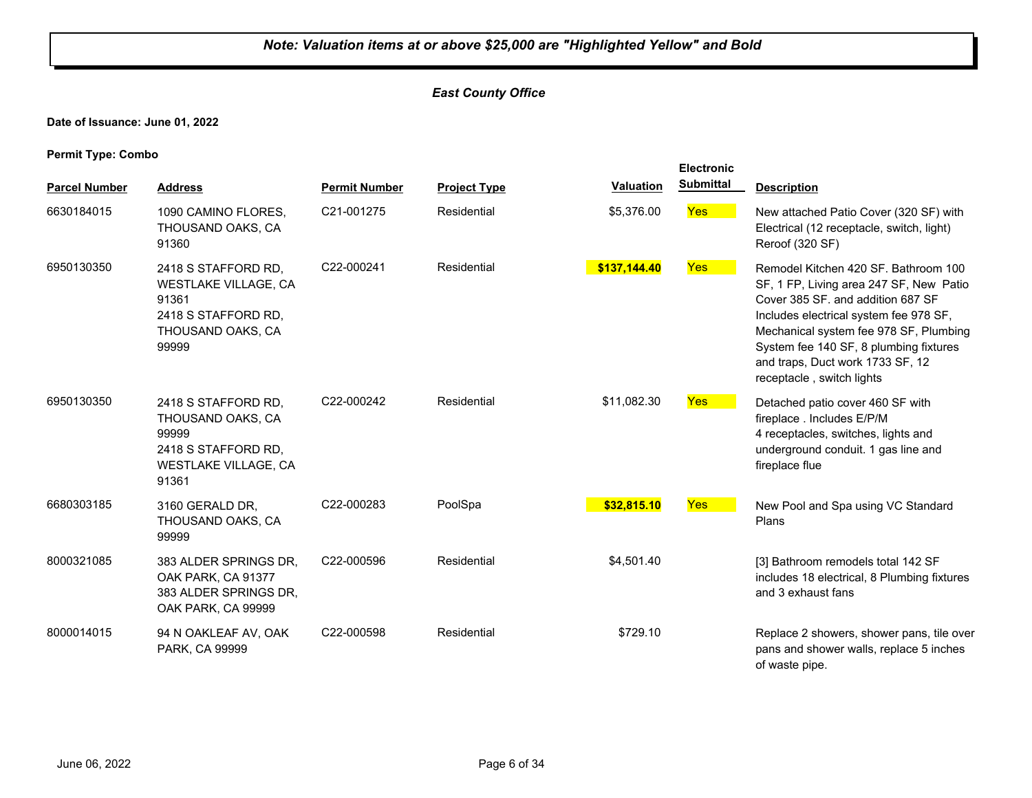## *East County Office*

**Date of Issuance: June 01, 2022**

**Permit Type: Combo**

|                      |                                                                                                                  |                      |                     |              | Electronic       |                                                                                                                                                                                                                                                                                                                     |
|----------------------|------------------------------------------------------------------------------------------------------------------|----------------------|---------------------|--------------|------------------|---------------------------------------------------------------------------------------------------------------------------------------------------------------------------------------------------------------------------------------------------------------------------------------------------------------------|
| <b>Parcel Number</b> | <b>Address</b>                                                                                                   | <b>Permit Number</b> | <b>Project Type</b> | Valuation    | <b>Submittal</b> | <b>Description</b>                                                                                                                                                                                                                                                                                                  |
| 6630184015           | 1090 CAMINO FLORES,<br>THOUSAND OAKS, CA<br>91360                                                                | C21-001275           | Residential         | \$5,376.00   | <b>Yes</b>       | New attached Patio Cover (320 SF) with<br>Electrical (12 receptacle, switch, light)<br>Reroof (320 SF)                                                                                                                                                                                                              |
| 6950130350           | 2418 S STAFFORD RD,<br>WESTLAKE VILLAGE, CA<br>91361<br>2418 S STAFFORD RD,<br>THOUSAND OAKS, CA<br>99999        | C22-000241           | Residential         | \$137,144.40 | <b>Yes</b>       | Remodel Kitchen 420 SF, Bathroom 100<br>SF, 1 FP, Living area 247 SF, New Patio<br>Cover 385 SF. and addition 687 SF<br>Includes electrical system fee 978 SF,<br>Mechanical system fee 978 SF, Plumbing<br>System fee 140 SF, 8 plumbing fixtures<br>and traps, Duct work 1733 SF, 12<br>receptacle, switch lights |
| 6950130350           | 2418 S STAFFORD RD,<br>THOUSAND OAKS, CA<br>99999<br>2418 S STAFFORD RD,<br><b>WESTLAKE VILLAGE, CA</b><br>91361 | C22-000242           | Residential         | \$11,082.30  | <b>Yes</b>       | Detached patio cover 460 SF with<br>fireplace . Includes E/P/M<br>4 receptacles, switches, lights and<br>underground conduit. 1 gas line and<br>fireplace flue                                                                                                                                                      |
| 6680303185           | 3160 GERALD DR,<br>THOUSAND OAKS, CA<br>99999                                                                    | C22-000283           | PoolSpa             | \$32,815.10  | <b>Yes</b>       | New Pool and Spa using VC Standard<br>Plans                                                                                                                                                                                                                                                                         |
| 8000321085           | 383 ALDER SPRINGS DR,<br>OAK PARK, CA 91377<br>383 ALDER SPRINGS DR,<br>OAK PARK, CA 99999                       | C22-000596           | Residential         | \$4,501.40   |                  | [3] Bathroom remodels total 142 SF<br>includes 18 electrical, 8 Plumbing fixtures<br>and 3 exhaust fans                                                                                                                                                                                                             |
| 8000014015           | 94 N OAKLEAF AV, OAK<br>PARK, CA 99999                                                                           | C22-000598           | Residential         | \$729.10     |                  | Replace 2 showers, shower pans, tile over<br>pans and shower walls, replace 5 inches<br>of waste pipe.                                                                                                                                                                                                              |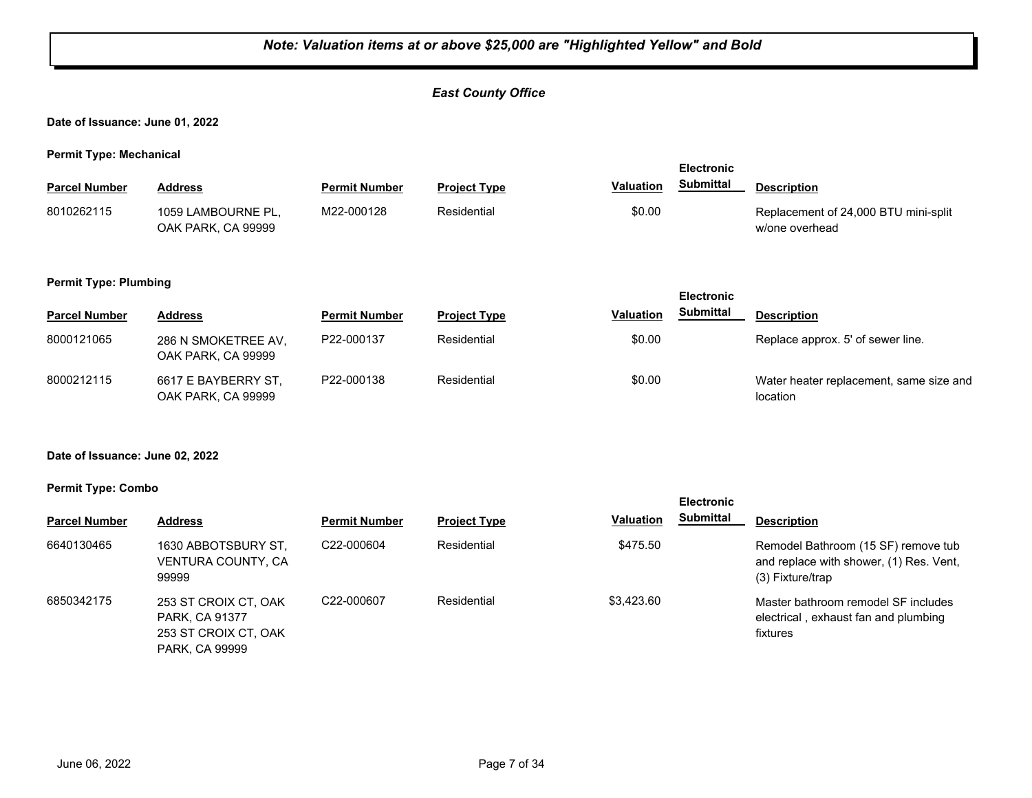## *East County Office*

#### **Date of Issuance: June 01, 2022**

**Permit Type: Mechanical**

| . .                  |                                          |                      |                     |           | <b>Electronic</b> |                                                        |  |
|----------------------|------------------------------------------|----------------------|---------------------|-----------|-------------------|--------------------------------------------------------|--|
| <b>Parcel Number</b> | Address                                  | <b>Permit Number</b> | <b>Project Type</b> | Valuation | Submittal         | <b>Description</b>                                     |  |
| 8010262115           | 1059 LAMBOURNE PL.<br>OAK PARK, CA 99999 | M22-000128           | Residential         | \$0.00    |                   | Replacement of 24,000 BTU mini-split<br>w/one overhead |  |

#### **Permit Type: Plumbing**

|                      |                                           |                      |                     |                  | ________         |                                                     |
|----------------------|-------------------------------------------|----------------------|---------------------|------------------|------------------|-----------------------------------------------------|
| <b>Parcel Number</b> | <b>Address</b>                            | <b>Permit Number</b> | <b>Project Type</b> | <b>Valuation</b> | <b>Submittal</b> | <b>Description</b>                                  |
| 8000121065           | 286 N SMOKETREE AV,<br>OAK PARK, CA 99999 | P22-000137           | Residential         | \$0.00           |                  | Replace approx. 5' of sewer line.                   |
| 8000212115           | 6617 E BAYBERRY ST,<br>OAK PARK, CA 99999 | P22-000138           | Residential         | \$0.00           |                  | Water heater replacement, same size and<br>location |

**Electronic** 

#### **Date of Issuance: June 02, 2022**

#### **Permit Type: Combo**

| . .                  |                                                                                         |                      |                     |                  | <b>Electronic</b> |                                                                                                    |
|----------------------|-----------------------------------------------------------------------------------------|----------------------|---------------------|------------------|-------------------|----------------------------------------------------------------------------------------------------|
| <b>Parcel Number</b> | <b>Address</b>                                                                          | <b>Permit Number</b> | <b>Project Type</b> | <b>Valuation</b> | <b>Submittal</b>  | <b>Description</b>                                                                                 |
| 6640130465           | 1630 ABBOTSBURY ST,<br>VENTURA COUNTY, CA<br>99999                                      | C22-000604           | Residential         | \$475.50         |                   | Remodel Bathroom (15 SF) remove tub<br>and replace with shower, (1) Res. Vent,<br>(3) Fixture/trap |
| 6850342175           | 253 ST CROIX CT, OAK<br>PARK, CA 91377<br>253 ST CROIX CT, OAK<br><b>PARK, CA 99999</b> | C22-000607           | Residential         | \$3.423.60       |                   | Master bathroom remodel SF includes<br>electrical, exhaust fan and plumbing<br>fixtures            |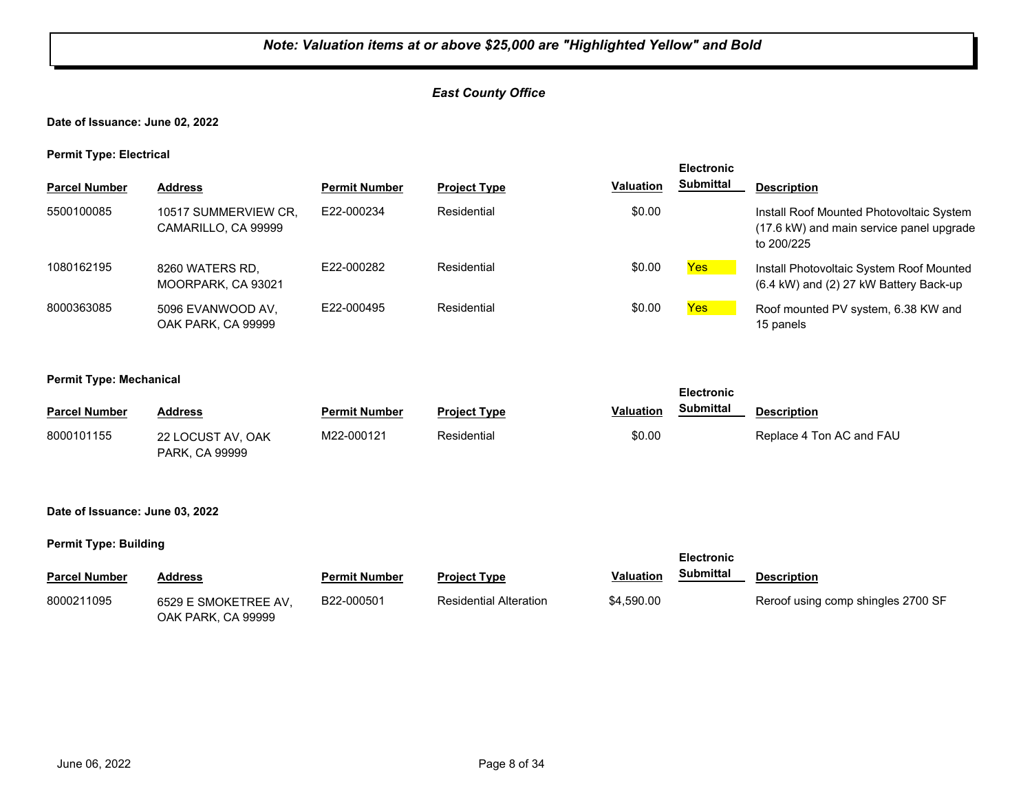## *East County Office*

**Date of Issuance: June 02, 2022**

**Permit Type: Electrical**

| . .                  |                                             |                      |                     |                  | <b>Electronic</b> |                                                                                                    |
|----------------------|---------------------------------------------|----------------------|---------------------|------------------|-------------------|----------------------------------------------------------------------------------------------------|
| <b>Parcel Number</b> | <b>Address</b>                              | <b>Permit Number</b> | <b>Project Type</b> | <b>Valuation</b> | <b>Submittal</b>  | <b>Description</b>                                                                                 |
| 5500100085           | 10517 SUMMERVIEW CR.<br>CAMARILLO, CA 99999 | E22-000234           | Residential         | \$0.00           |                   | Install Roof Mounted Photovoltaic System<br>(17.6 kW) and main service panel upgrade<br>to 200/225 |
| 1080162195           | 8260 WATERS RD,<br>MOORPARK, CA 93021       | E22-000282           | Residential         | \$0.00           | Yes               | Install Photovoltaic System Roof Mounted<br>(6.4 kW) and (2) 27 kW Battery Back-up                 |
| 8000363085           | 5096 EVANWOOD AV.<br>OAK PARK, CA 99999     | E22-000495           | Residential         | \$0.00           | <b>Yes</b>        | Roof mounted PV system, 6.38 KW and<br>15 panels                                                   |

**Electronic** 

#### **Permit Type: Mechanical**

| <b>Parcel Number</b> | <b>Address</b>                             | <b>Permit Number</b> | <b>Project Type</b> | <b>Valuation</b> | <b>Submittal</b> | <b>Description</b>       |
|----------------------|--------------------------------------------|----------------------|---------------------|------------------|------------------|--------------------------|
| 8000101155           | 22 LOCUST AV. OAK<br><b>PARK, CA 99999</b> | M22-000121           | Residential         | \$0.00           |                  | Replace 4 Ton AC and FAU |

#### **Date of Issuance: June 03, 2022**

|                      |                                            |                      |                        |            | <b>Electronic</b> |                                    |  |
|----------------------|--------------------------------------------|----------------------|------------------------|------------|-------------------|------------------------------------|--|
| <b>Parcel Number</b> | <b>Address</b>                             | <b>Permit Number</b> | <b>Project Type</b>    | Valuation  | Submittal         | <b>Description</b>                 |  |
| 8000211095           | 6529 E SMOKETREE AV.<br>OAK PARK, CA 99999 | B22-000501           | Residential Alteration | \$4,590.00 |                   | Reroof using comp shingles 2700 SF |  |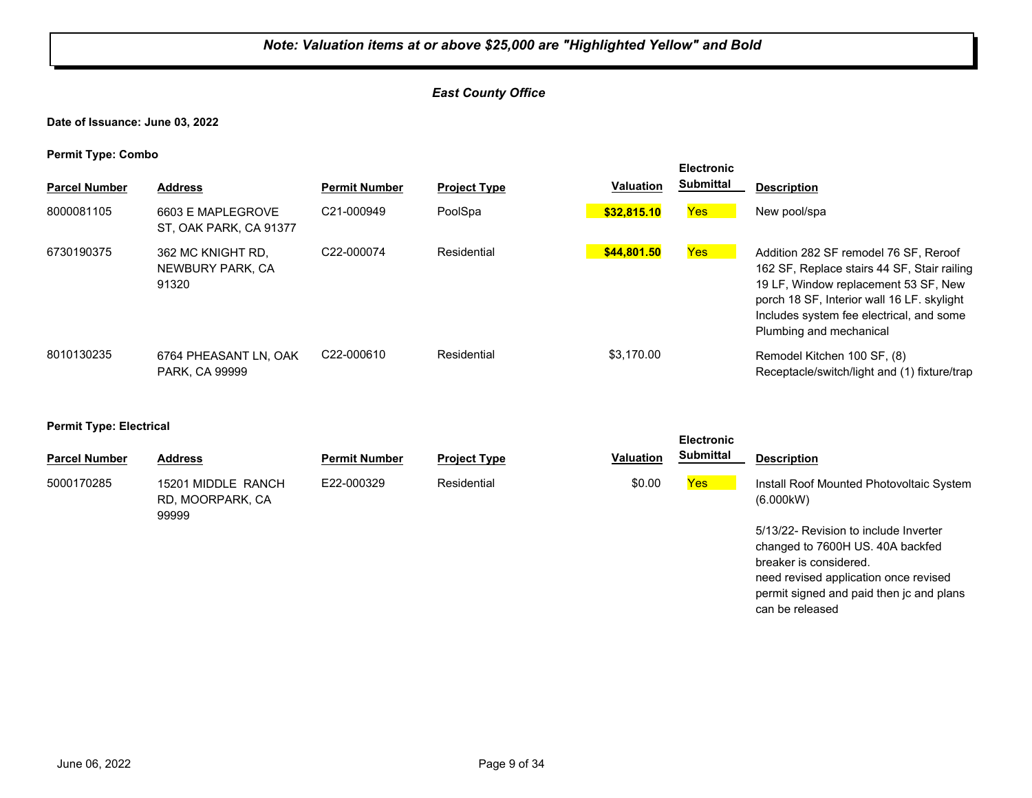#### *East County Office*

**Date of Issuance: June 03, 2022**

**Permit Type: Combo**

| . .<br><b>Parcel Number</b> | <b>Address</b>                                 | <b>Permit Number</b>    | <b>Project Type</b> | <b>Valuation</b> | <b>Electronic</b><br><b>Submittal</b> | <b>Description</b>                                                                                                                                                                                                                                |
|-----------------------------|------------------------------------------------|-------------------------|---------------------|------------------|---------------------------------------|---------------------------------------------------------------------------------------------------------------------------------------------------------------------------------------------------------------------------------------------------|
| 8000081105                  | 6603 E MAPLEGROVE<br>ST. OAK PARK, CA 91377    | C21-000949              | PoolSpa             | \$32,815.10      | <b>Yes</b>                            | New pool/spa                                                                                                                                                                                                                                      |
| 6730190375                  | 362 MC KNIGHT RD.<br>NEWBURY PARK, CA<br>91320 | C <sub>22</sub> -000074 | Residential         | \$44.801.50      | Yes                                   | Addition 282 SF remodel 76 SF, Reroof<br>162 SF, Replace stairs 44 SF, Stair railing<br>19 LF, Window replacement 53 SF, New<br>porch 18 SF, Interior wall 16 LF, skylight<br>Includes system fee electrical, and some<br>Plumbing and mechanical |
| 8010130235                  | 6764 PHEASANT LN, OAK<br>PARK, CA 99999        | C22-000610              | Residential         | \$3.170.00       |                                       | Remodel Kitchen 100 SF, (8)<br>Receptacle/switch/light and (1) fixture/trap                                                                                                                                                                       |

#### **Permit Type: Electrical**

|                      |                                                 |                      |                     |                  | <b>Electronic</b> |                                                       |
|----------------------|-------------------------------------------------|----------------------|---------------------|------------------|-------------------|-------------------------------------------------------|
| <b>Parcel Number</b> | <b>Address</b>                                  | <b>Permit Number</b> | <b>Project Type</b> | <b>Valuation</b> | <b>Submittal</b>  | <b>Description</b>                                    |
| 5000170285           | 15201 MIDDLE RANCH<br>RD, MOORPARK, CA<br>99999 | E22-000329           | Residential         | \$0.00           | <b>Yes</b>        | Install Roof Mounted Photovoltaic System<br>(6.000kW) |
|                      |                                                 |                      |                     |                  |                   | 5/13/22 Revision to include Inverter                  |

5/13/22- Revision to include Inverter changed to 7600H US. 40A backfed breaker is considered. need revised application once revised permit signed and paid then jc and plans can be released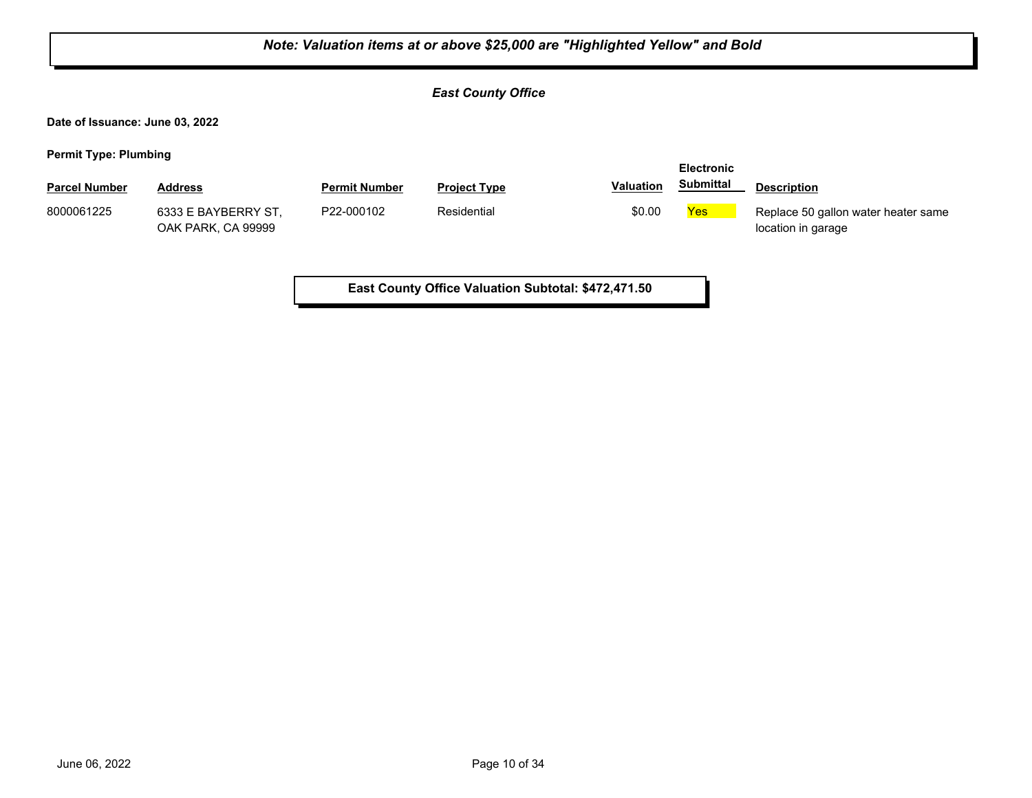| Note: Valuation items at or above \$25,000 are "Highlighted Yellow" and Bold |                                           |                      |                                                     |                  |                                       |                                                           |  |
|------------------------------------------------------------------------------|-------------------------------------------|----------------------|-----------------------------------------------------|------------------|---------------------------------------|-----------------------------------------------------------|--|
|                                                                              |                                           |                      | <b>East County Office</b>                           |                  |                                       |                                                           |  |
| Date of Issuance: June 03, 2022                                              |                                           |                      |                                                     |                  |                                       |                                                           |  |
| <b>Permit Type: Plumbing</b>                                                 |                                           |                      |                                                     |                  |                                       |                                                           |  |
| <b>Parcel Number</b>                                                         | <b>Address</b>                            | <b>Permit Number</b> | <b>Project Type</b>                                 | <b>Valuation</b> | <b>Electronic</b><br><b>Submittal</b> | <b>Description</b>                                        |  |
| 8000061225                                                                   | 6333 E BAYBERRY ST,<br>OAK PARK, CA 99999 | P22-000102           | Residential                                         | \$0.00           | Yes                                   | Replace 50 gallon water heater same<br>location in garage |  |
|                                                                              |                                           |                      | East County Office Valuation Subtotal: \$472,471.50 |                  |                                       |                                                           |  |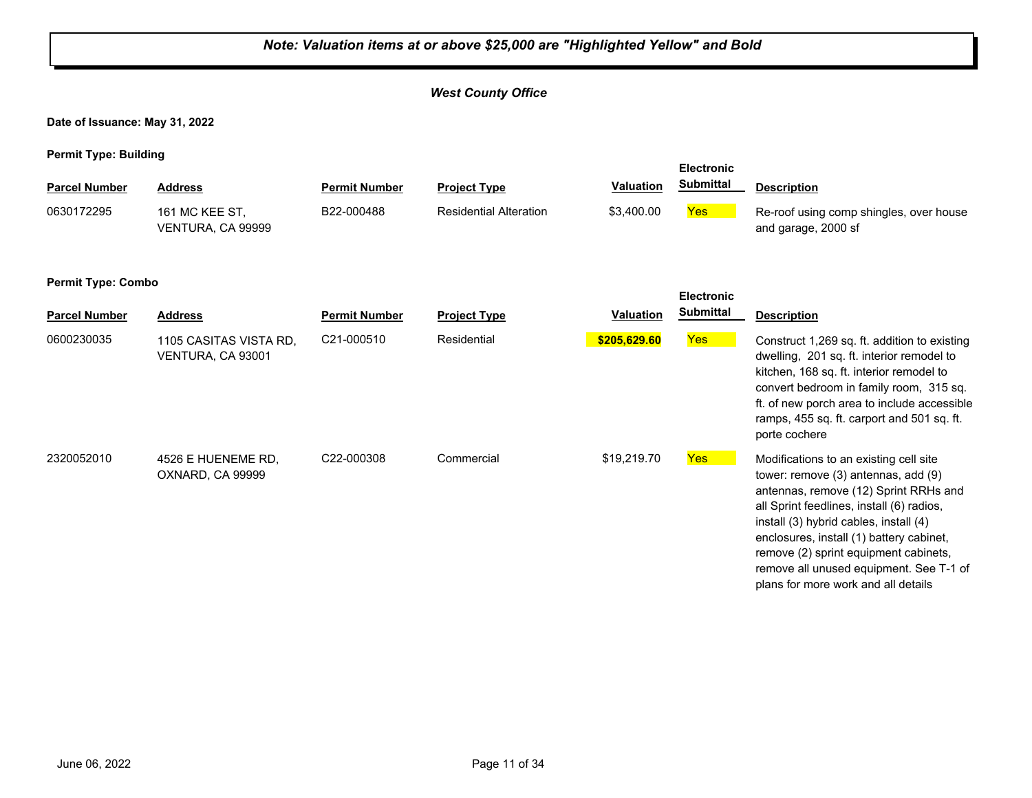#### *West County Office* **Date of Issuance: May 31, 2022 Permit Type: Building Parcel Number Address <b>Permit Number Project Type Valuation Submittal Description Electronic Submittal** 161 MC KEE ST, VENTURA, CA 99999 B22-000488 Residential Alteration \$3,400.00 **Yes** Re-roof using comp shingles, over house and garage, 2000 sf 0630172295 161 MC KEE ST. B22-000488 Residential Alteration **Permit Type: Combo Parcel Number Address Permit Number Project Type Valuation Description Electronic Submittal** 0600230035 1105 CASITAS VISTA RD, C21-000510 Residential <mark> \$205,629.60</mark> <mark>Yes</mark> VENTURA, CA 93001 C21-000510 Residential **\$205,629.60** Construct 1,269 sq. ft. addition to existing dwelling, 201 sq. ft. interior remodel to kitchen, 168 sq. ft. interior remodel to convert bedroom in family room, 315 sq. ft. of new porch area to include accessible ramps, 455 sq. ft. carport and 501 sq. ft. porte cochere 2320052010 4526 E HUENEME RD, C22-000308 Commercial \$19,219.70 <mark>Yes</mark> OXNARD, CA 99999 C22-000308 Commercial \$19,219.70 Yes Modifications to an existing cell site tower: remove (3) antennas, add (9) antennas, remove (12) Sprint RRHs and all Sprint feedlines, install (6) radios, install (3) hybrid cables, install (4) enclosures, install (1) battery cabinet, remove (2) sprint equipment cabinets, remove all unused equipment. See T-1 of plans for more work and all details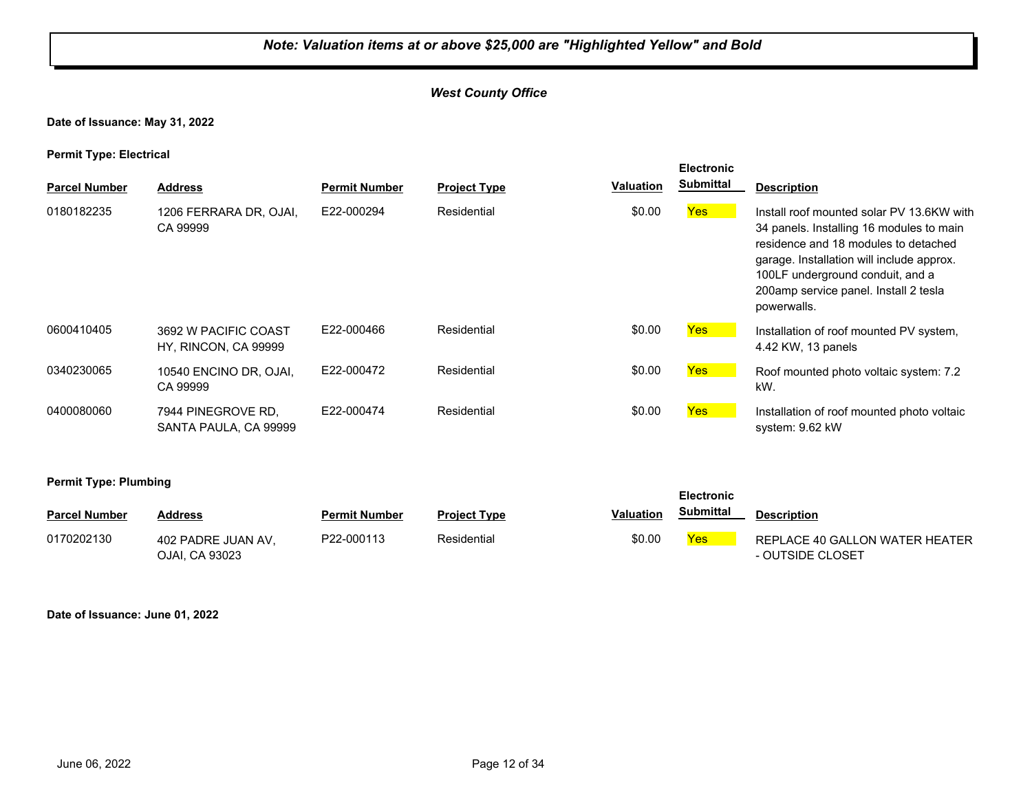## *West County Office*

**Date of Issuance: May 31, 2022**

**Permit Type: Electrical**

| <b>Parcel Number</b> | <b>Address</b>                               | <b>Permit Number</b> | <b>Project Type</b> | <b>Valuation</b> | <b>Submittal</b> | <b>Description</b>                                                                                                                                                                                                                                                     |
|----------------------|----------------------------------------------|----------------------|---------------------|------------------|------------------|------------------------------------------------------------------------------------------------------------------------------------------------------------------------------------------------------------------------------------------------------------------------|
| 0180182235           | 1206 FERRARA DR, OJAI,<br>CA 99999           | E22-000294           | Residential         | \$0.00           | Yes              | Install roof mounted solar PV 13.6KW with<br>34 panels. Installing 16 modules to main<br>residence and 18 modules to detached<br>garage. Installation will include approx.<br>100LF underground conduit, and a<br>200amp service panel. Install 2 tesla<br>powerwalls. |
| 0600410405           | 3692 W PACIFIC COAST<br>HY, RINCON, CA 99999 | E22-000466           | Residential         | \$0.00           | Yes              | Installation of roof mounted PV system,<br>4.42 KW, 13 panels                                                                                                                                                                                                          |
| 0340230065           | 10540 ENCINO DR, OJAI,<br>CA 99999           | E22-000472           | Residential         | \$0.00           | Yes              | Roof mounted photo voltaic system: 7.2<br>kW.                                                                                                                                                                                                                          |
| 0400080060           | 7944 PINEGROVE RD.<br>SANTA PAULA, CA 99999  | E22-000474           | Residential         | \$0.00           | Yes <sup>1</sup> | Installation of roof mounted photo voltaic<br>system: 9.62 kW                                                                                                                                                                                                          |
|                      |                                              |                      |                     |                  |                  |                                                                                                                                                                                                                                                                        |

**Permit Type: Plumbing**

| <b>Parcel Number</b> | <b>Address</b>                       | <b>Permit Number</b> | <b>Project Type</b> | Valuation | Submittal | <b>Description</b>                                 |
|----------------------|--------------------------------------|----------------------|---------------------|-----------|-----------|----------------------------------------------------|
| 0170202130           | 402 PADRE JUAN AV.<br>OJAI. CA 93023 | P22-000113           | Residential         | \$0.00    | Yes       | REPLACE 40 GALLON WATER HEATER<br>- OUTSIDE CLOSET |

**Electronic** 

**Date of Issuance: June 01, 2022**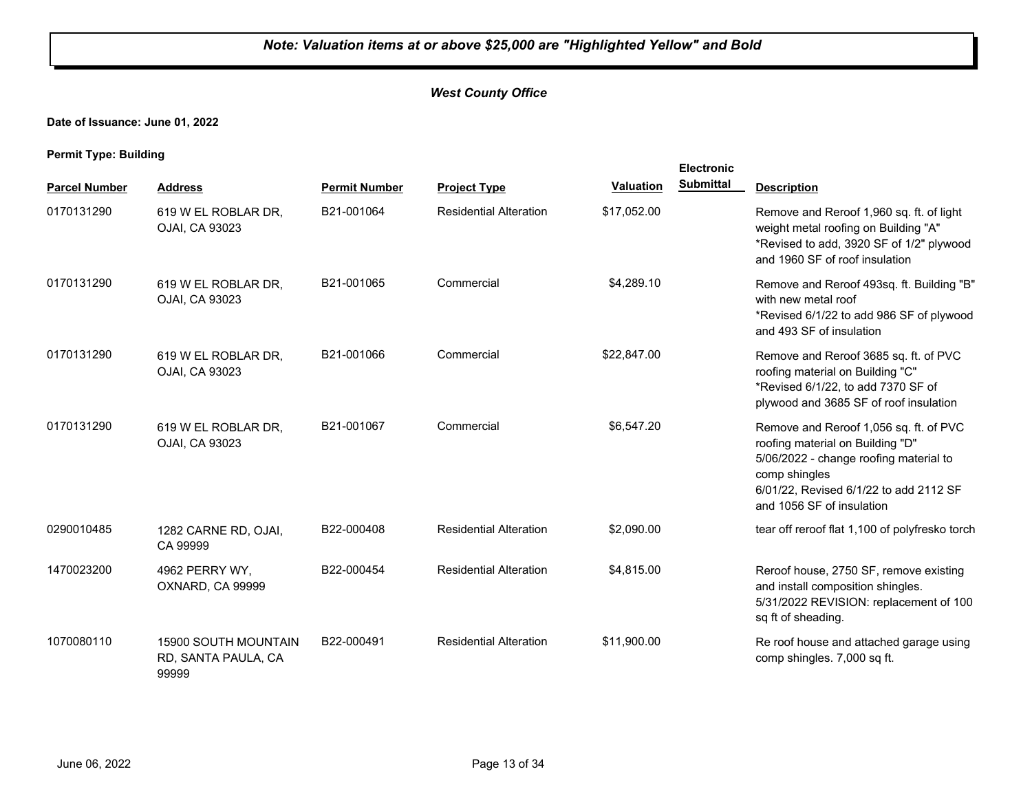## *West County Office*

**Date of Issuance: June 01, 2022**

|                      |                                                             |                      |                               |                  | Electronic       |                                                                                                                                                                                                              |
|----------------------|-------------------------------------------------------------|----------------------|-------------------------------|------------------|------------------|--------------------------------------------------------------------------------------------------------------------------------------------------------------------------------------------------------------|
| <b>Parcel Number</b> | <b>Address</b>                                              | <b>Permit Number</b> | <b>Project Type</b>           | <b>Valuation</b> | <b>Submittal</b> | <b>Description</b>                                                                                                                                                                                           |
| 0170131290           | 619 W EL ROBLAR DR,<br>OJAI, CA 93023                       | B21-001064           | <b>Residential Alteration</b> | \$17,052.00      |                  | Remove and Reroof 1,960 sq. ft. of light<br>weight metal roofing on Building "A"<br>*Revised to add, 3920 SF of 1/2" plywood<br>and 1960 SF of roof insulation                                               |
| 0170131290           | 619 W EL ROBLAR DR,<br>OJAI, CA 93023                       | B21-001065           | Commercial                    | \$4,289.10       |                  | Remove and Reroof 493sq. ft. Building "B"<br>with new metal roof<br>*Revised 6/1/22 to add 986 SF of plywood<br>and 493 SF of insulation                                                                     |
| 0170131290           | 619 W EL ROBLAR DR,<br>OJAI, CA 93023                       | B21-001066           | Commercial                    | \$22,847.00      |                  | Remove and Reroof 3685 sq. ft. of PVC<br>roofing material on Building "C"<br>*Revised 6/1/22, to add 7370 SF of<br>plywood and 3685 SF of roof insulation                                                    |
| 0170131290           | 619 W EL ROBLAR DR,<br>OJAI, CA 93023                       | B21-001067           | Commercial                    | \$6,547.20       |                  | Remove and Reroof 1,056 sq. ft. of PVC<br>roofing material on Building "D"<br>5/06/2022 - change roofing material to<br>comp shingles<br>6/01/22, Revised 6/1/22 to add 2112 SF<br>and 1056 SF of insulation |
| 0290010485           | 1282 CARNE RD, OJAI,<br>CA 99999                            | B22-000408           | <b>Residential Alteration</b> | \$2,090.00       |                  | tear off reroof flat 1,100 of polyfresko torch                                                                                                                                                               |
| 1470023200           | 4962 PERRY WY.<br>OXNARD, CA 99999                          | B22-000454           | <b>Residential Alteration</b> | \$4,815.00       |                  | Reroof house, 2750 SF, remove existing<br>and install composition shingles.<br>5/31/2022 REVISION: replacement of 100<br>sq ft of sheading.                                                                  |
| 1070080110           | <b>15900 SOUTH MOUNTAIN</b><br>RD, SANTA PAULA, CA<br>99999 | B22-000491           | <b>Residential Alteration</b> | \$11,900.00      |                  | Re roof house and attached garage using<br>comp shingles. 7,000 sq ft.                                                                                                                                       |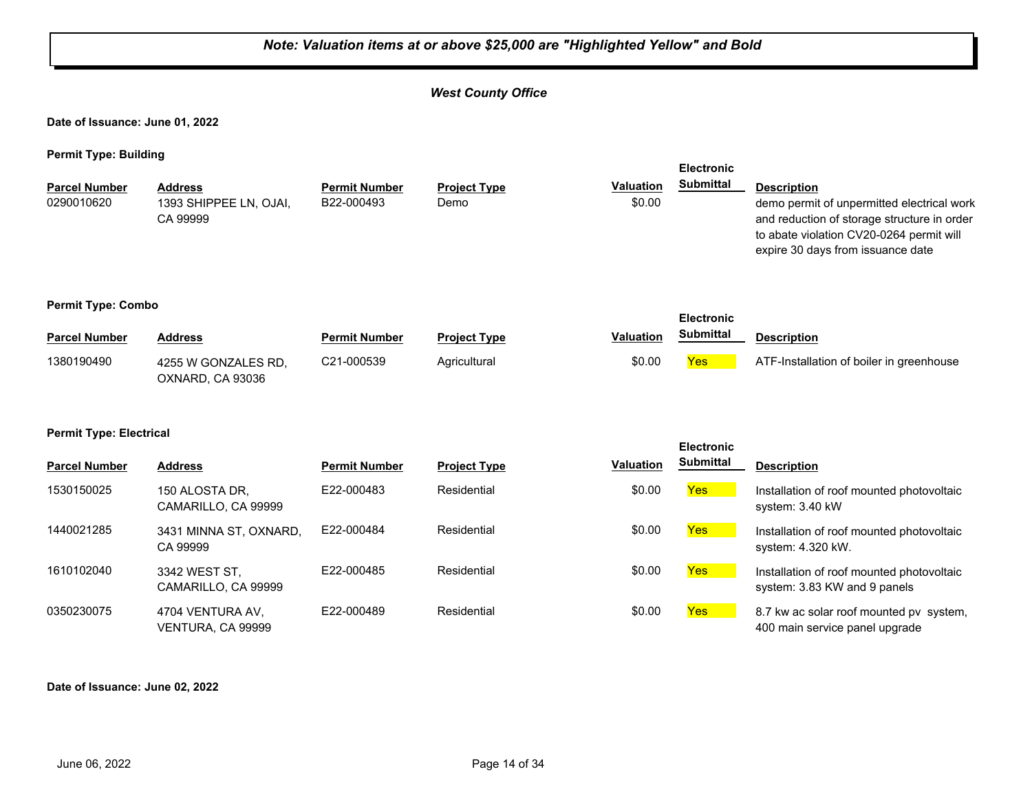#### *Note: Valuation items at or above \$25,000 are "Highlighted Yellow" and Bold West County Office* **Date of Issuance: June 01, 2022 Permit Type: Building Parcel Number Address <b>Permit Number Project Type Valuation Submittal Description Electronic Submittal** 1393 SHIPPEE LN, OJAI, CA 99999 B22-000493 Demo **bemo** \$0.00 demo permit of unpermitted electrical work and reduction of storage structure in order to abate violation CV20-0264 permit will expire 30 days from issuance date 0290010620 **Permit Type: Combo Parcel Number Address Permit Number Project Type Valuation Description Electronic Submittal** 4255 W GONZALES RD, OXNARD, CA 93036 1380190490 4255 W GONZALES RD. C21-000539 Agricultural \$0.00 Yes ATF-Installation of boiler in greenhouse **Permit Type: Electrical Parcel Number Address <b>Permit Number Project Type Valuation Submittal Description Electronic Submittal** 1530150025 150 ALOSTA DR, E22-000483 Residential \$0.00 <mark>Yes</mark> CAMARILLO, CA 99999 E22-000483 Residential **Residential Residential Residential** \$0.00 **Yes** Installation of roof mounted photovoltaic system: 3.40 kW 1440021285 3431 MINNA ST, OXNARD, E22-000484 Residential \$0.00 <mark>Yes</mark> CA 99999 E22-000484 Residential **Residential Residential Residential** \$0.00 **Yes** Installation of roof mounted photovoltaic system: 4.320 kW. 1610102040 3342 WEST ST, E22-000485 Residential \$0.00 <mark>Yes</mark> CAMARILLO, CA 99999 E22-000485 Residential **Residential 50.00 Yes** Installation of roof mounted photovoltaic system: 3.83 KW and 9 panels 0350230075 4704 VENTURA AV, E22-000489 Residential \$0.00 <mark>Yes</mark> VENTURA, CA 99999 E22-000489 Residential **Residential** \$0.00 **Yes** 8.7 kw ac solar roof mounted pv system, 400 main service panel upgrade

#### **Date of Issuance: June 02, 2022**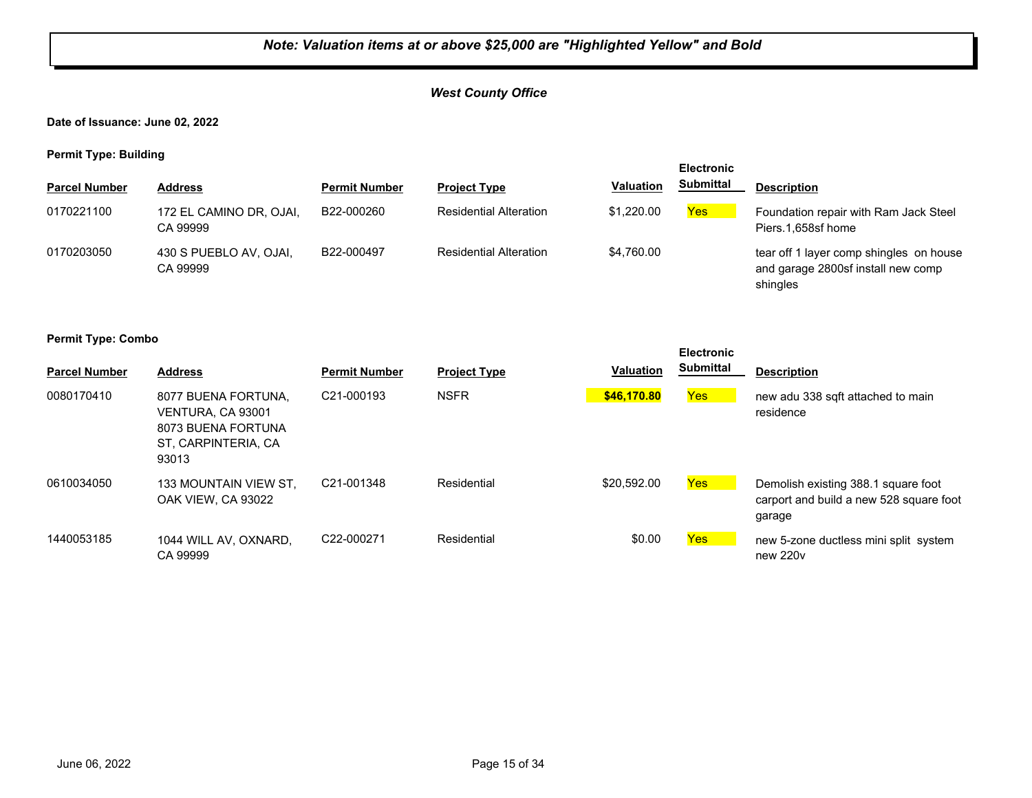## *West County Office*

**Date of Issuance: June 02, 2022**

**Permit Type: Building**

| .                    | . .                                 |                      |                               |            | <b>Electronic</b> |                                                                                           |
|----------------------|-------------------------------------|----------------------|-------------------------------|------------|-------------------|-------------------------------------------------------------------------------------------|
| <b>Parcel Number</b> | <b>Address</b>                      | <b>Permit Number</b> | <b>Project Type</b>           | Valuation  | <b>Submittal</b>  | <b>Description</b>                                                                        |
| 0170221100           | 172 EL CAMINO DR, OJAI,<br>CA 99999 | B22-000260           | <b>Residential Alteration</b> | \$1.220.00 | Yes               | Foundation repair with Ram Jack Steel<br>Piers.1,658sf home                               |
| 0170203050           | 430 S PUEBLO AV, OJAI,<br>CA 99999  | B22-000497           | <b>Residential Alteration</b> | \$4.760.00 |                   | tear off 1 layer comp shingles on house<br>and garage 2800sf install new comp<br>shingles |

#### **Permit Type: Combo**

| <b>Parcel Number</b> | <b>Address</b>                                                                                 | <b>Permit Number</b>    | <b>Project Type</b> | <b>Valuation</b> | <b>Electronic</b><br><b>Submittal</b> | <b>Description</b>                                                                       |
|----------------------|------------------------------------------------------------------------------------------------|-------------------------|---------------------|------------------|---------------------------------------|------------------------------------------------------------------------------------------|
| 0080170410           | 8077 BUENA FORTUNA.<br>VENTURA, CA 93001<br>8073 BUENA FORTUNA<br>ST. CARPINTERIA, CA<br>93013 | C <sub>21</sub> -000193 | <b>NSFR</b>         | \$46,170.80      | <b>Yes</b>                            | new adu 338 sqft attached to main<br>residence                                           |
| 0610034050           | 133 MOUNTAIN VIEW ST.<br>OAK VIEW. CA 93022                                                    | C21-001348              | Residential         | \$20,592.00      | Yes                                   | Demolish existing 388.1 square foot<br>carport and build a new 528 square foot<br>garage |
| 1440053185           | 1044 WILL AV, OXNARD,<br>CA 99999                                                              | C22-000271              | Residential         | \$0.00           | <b>Yes</b>                            | new 5-zone ductless mini split system<br>new 220 <sub>v</sub>                            |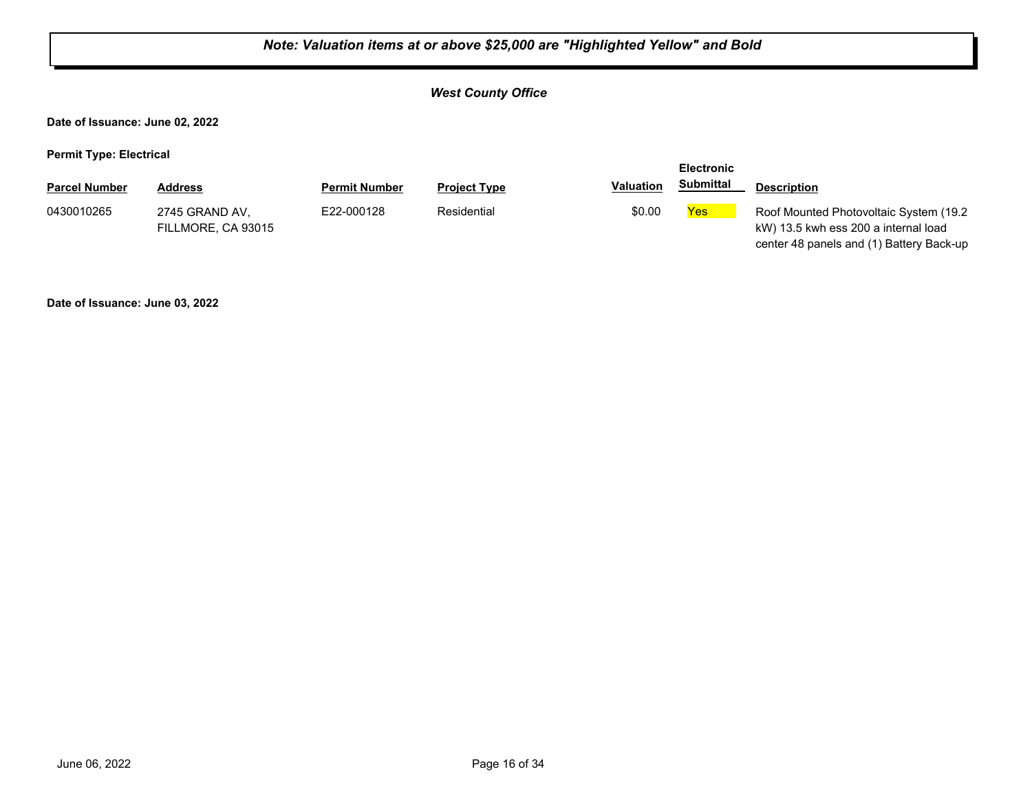## *West County Office*

**Date of Issuance: June 02, 2022**

**Permit Type: Electrical**

|                      |                                      |                      |                     |                  | <b>Electronic</b> |                                                                                                                             |
|----------------------|--------------------------------------|----------------------|---------------------|------------------|-------------------|-----------------------------------------------------------------------------------------------------------------------------|
| <b>Parcel Number</b> | <b>Address</b>                       | <b>Permit Number</b> | <b>Project Type</b> | <b>Valuation</b> | Submittal         | <b>Description</b>                                                                                                          |
| 0430010265           | 2745 GRAND AV.<br>FILLMORE, CA 93015 | E22-000128           | Residential         | \$0.00           | Yes               | Roof Mounted Photovoltaic System (19.2)<br>kW) 13.5 kwh ess 200 a internal load<br>center 48 panels and (1) Battery Back-up |

**Date of Issuance: June 03, 2022**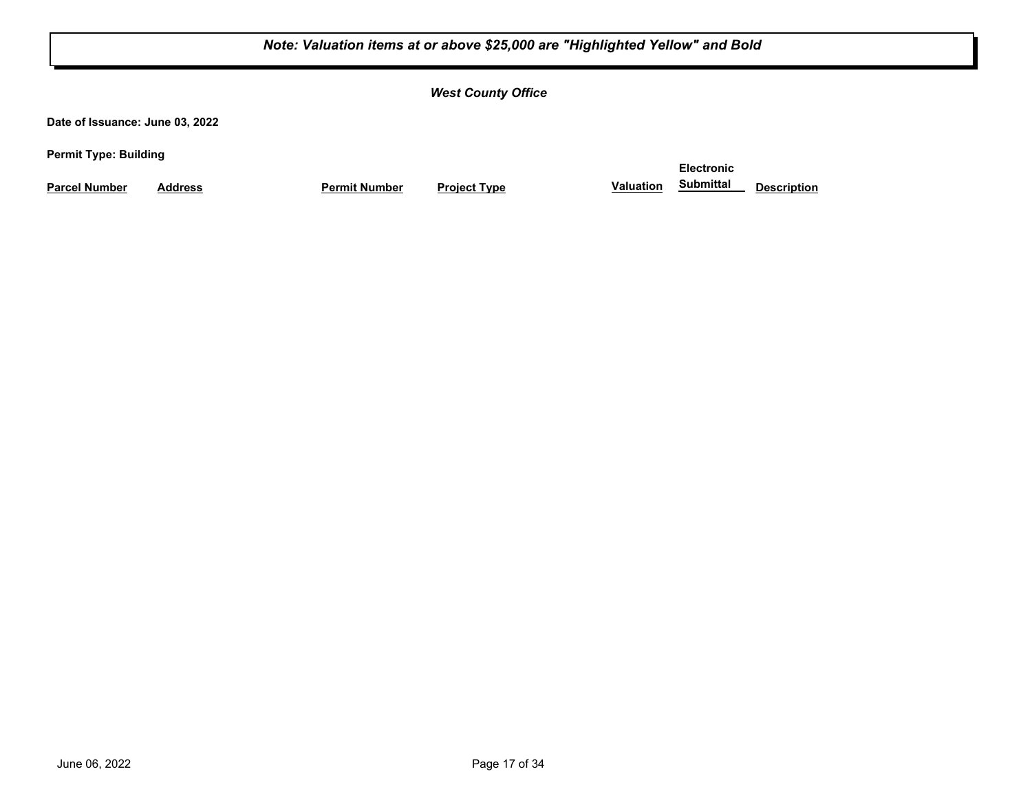*West County Office*

**Date of Issuance: June 03, 2022**

**Permit Type: Building**

**Parcel Number Address Permit Number Project Type Valuation Submittal Description** 

**Electronic Submittal**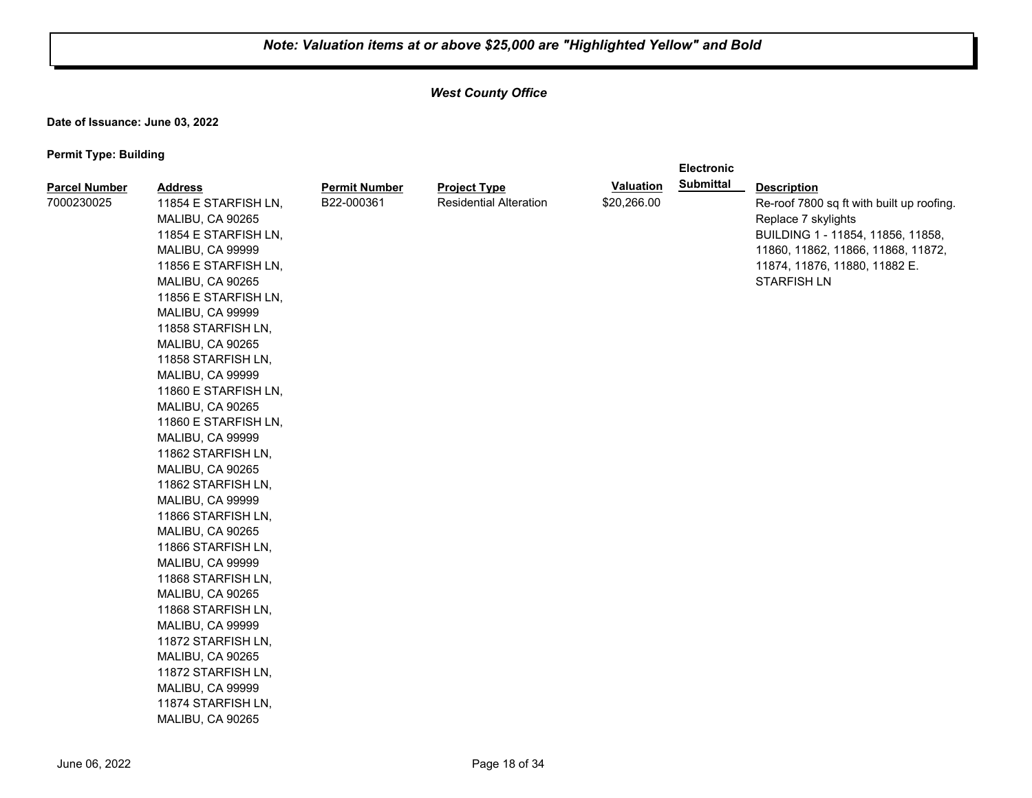**Electronic** 

## *West County Office*

**Date of Issuance: June 03, 2022**

| <b>Parcel Number</b> | <b>Address</b>       | <b>Permit Number</b> | <b>Project Type</b>           | <b>Valuation</b> | <b>Submittal</b> | <b>Description</b>                        |
|----------------------|----------------------|----------------------|-------------------------------|------------------|------------------|-------------------------------------------|
| 7000230025           | 11854 E STARFISH LN, | B22-000361           | <b>Residential Alteration</b> | \$20,266.00      |                  | Re-roof 7800 sq ft with built up roofing. |
|                      | MALIBU, CA 90265     |                      |                               |                  |                  | Replace 7 skylights                       |
|                      | 11854 E STARFISH LN, |                      |                               |                  |                  | BUILDING 1 - 11854, 11856, 11858,         |
|                      | MALIBU, CA 99999     |                      |                               |                  |                  | 11860, 11862, 11866, 11868, 11872,        |
|                      | 11856 E STARFISH LN, |                      |                               |                  |                  | 11874, 11876, 11880, 11882 E.             |
|                      | MALIBU, CA 90265     |                      |                               |                  |                  | <b>STARFISH LN</b>                        |
|                      | 11856 E STARFISH LN, |                      |                               |                  |                  |                                           |
|                      | MALIBU, CA 99999     |                      |                               |                  |                  |                                           |
|                      | 11858 STARFISH LN,   |                      |                               |                  |                  |                                           |
|                      | MALIBU, CA 90265     |                      |                               |                  |                  |                                           |
|                      | 11858 STARFISH LN,   |                      |                               |                  |                  |                                           |
|                      | MALIBU, CA 99999     |                      |                               |                  |                  |                                           |
|                      | 11860 E STARFISH LN, |                      |                               |                  |                  |                                           |
|                      | MALIBU, CA 90265     |                      |                               |                  |                  |                                           |
|                      | 11860 E STARFISH LN, |                      |                               |                  |                  |                                           |
|                      | MALIBU, CA 99999     |                      |                               |                  |                  |                                           |
|                      | 11862 STARFISH LN,   |                      |                               |                  |                  |                                           |
|                      | MALIBU, CA 90265     |                      |                               |                  |                  |                                           |
|                      | 11862 STARFISH LN,   |                      |                               |                  |                  |                                           |
|                      | MALIBU, CA 99999     |                      |                               |                  |                  |                                           |
|                      | 11866 STARFISH LN,   |                      |                               |                  |                  |                                           |
|                      | MALIBU, CA 90265     |                      |                               |                  |                  |                                           |
|                      | 11866 STARFISH LN,   |                      |                               |                  |                  |                                           |
|                      | MALIBU, CA 99999     |                      |                               |                  |                  |                                           |
|                      | 11868 STARFISH LN,   |                      |                               |                  |                  |                                           |
|                      | MALIBU, CA 90265     |                      |                               |                  |                  |                                           |
|                      | 11868 STARFISH LN,   |                      |                               |                  |                  |                                           |
|                      | MALIBU, CA 99999     |                      |                               |                  |                  |                                           |
|                      | 11872 STARFISH LN,   |                      |                               |                  |                  |                                           |
|                      | MALIBU, CA 90265     |                      |                               |                  |                  |                                           |
|                      | 11872 STARFISH LN,   |                      |                               |                  |                  |                                           |
|                      | MALIBU, CA 99999     |                      |                               |                  |                  |                                           |
|                      | 11874 STARFISH LN,   |                      |                               |                  |                  |                                           |
|                      | MALIBU, CA 90265     |                      |                               |                  |                  |                                           |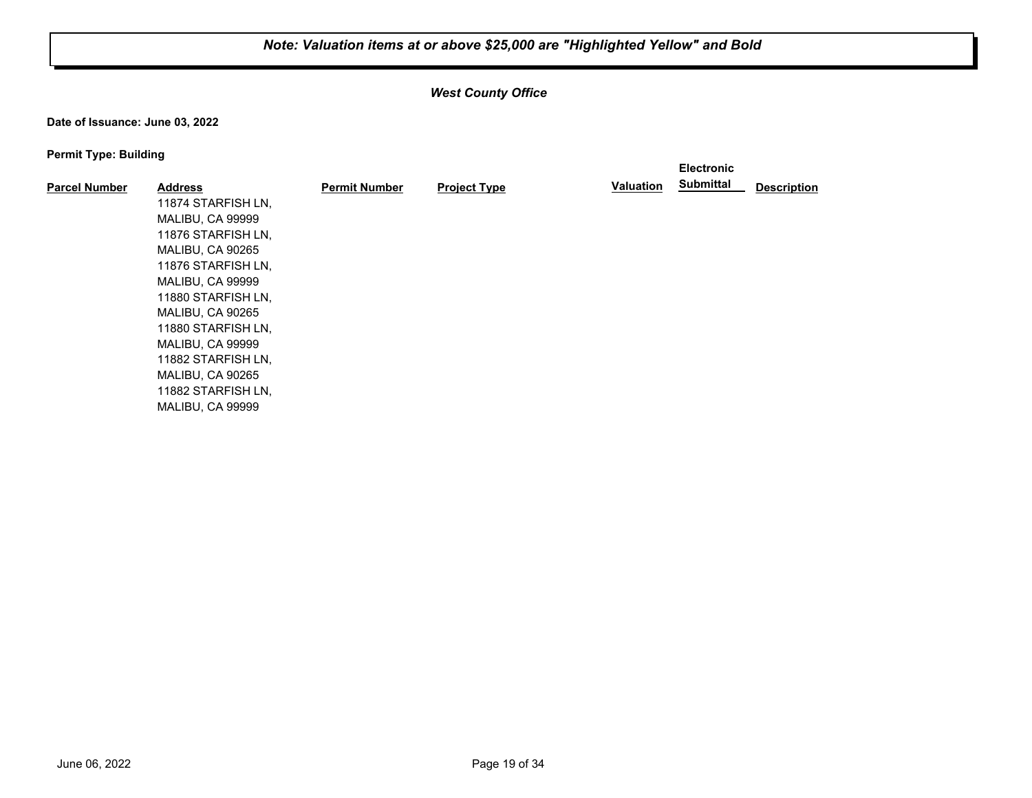## *West County Office*

**Date of Issuance: June 03, 2022**

| . .                  |                    |                      |                     |           | <b>Electronic</b> |                    |
|----------------------|--------------------|----------------------|---------------------|-----------|-------------------|--------------------|
| <b>Parcel Number</b> | <b>Address</b>     | <b>Permit Number</b> | <b>Project Type</b> | Valuation | <b>Submittal</b>  | <b>Description</b> |
|                      | 11874 STARFISH LN, |                      |                     |           |                   |                    |
|                      | MALIBU, CA 99999   |                      |                     |           |                   |                    |
|                      | 11876 STARFISH LN. |                      |                     |           |                   |                    |
|                      | MALIBU, CA 90265   |                      |                     |           |                   |                    |
|                      | 11876 STARFISH LN. |                      |                     |           |                   |                    |
|                      | MALIBU, CA 99999   |                      |                     |           |                   |                    |
|                      | 11880 STARFISH LN. |                      |                     |           |                   |                    |
|                      | MALIBU, CA 90265   |                      |                     |           |                   |                    |
|                      | 11880 STARFISH LN, |                      |                     |           |                   |                    |
|                      | MALIBU, CA 99999   |                      |                     |           |                   |                    |
|                      | 11882 STARFISH LN, |                      |                     |           |                   |                    |
|                      | MALIBU, CA 90265   |                      |                     |           |                   |                    |
|                      | 11882 STARFISH LN, |                      |                     |           |                   |                    |
|                      | MALIBU, CA 99999   |                      |                     |           |                   |                    |
|                      |                    |                      |                     |           |                   |                    |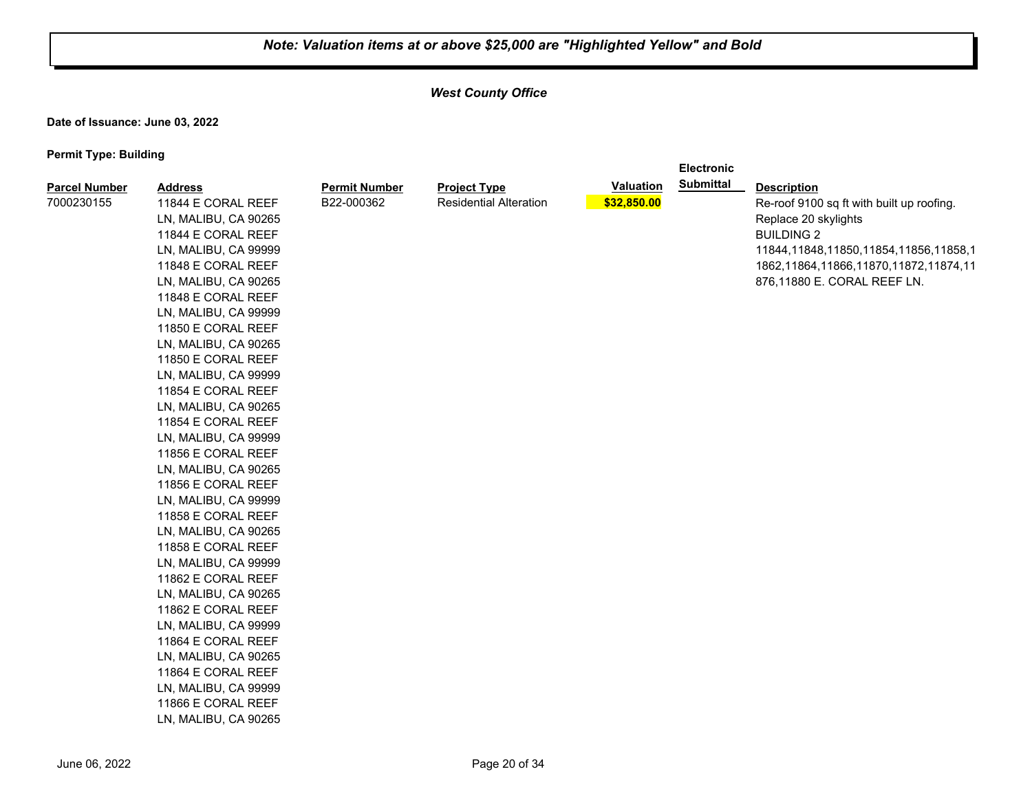**Electronic** 

## *West County Office*

**Date of Issuance: June 03, 2022**

| <b>Parcel Number</b> | <b>Address</b>       | <b>Permit Number</b> | <b>Project Type</b>           | Valuation   | <b>Submittal</b> | <b>Description</b>                          |
|----------------------|----------------------|----------------------|-------------------------------|-------------|------------------|---------------------------------------------|
| 7000230155           | 11844 E CORAL REEF   | B22-000362           | <b>Residential Alteration</b> | \$32,850.00 |                  | Re-roof 9100 sq ft with built up roofing.   |
|                      | LN, MALIBU, CA 90265 |                      |                               |             |                  | Replace 20 skylights                        |
|                      | 11844 E CORAL REEF   |                      |                               |             |                  | <b>BUILDING 2</b>                           |
|                      | LN, MALIBU, CA 99999 |                      |                               |             |                  | 11844, 11848, 11850, 11854, 11856, 11858, 1 |
|                      | 11848 E CORAL REEF   |                      |                               |             |                  | 1862, 11864, 11866, 11870, 11872, 11874, 11 |
|                      | LN, MALIBU, CA 90265 |                      |                               |             |                  | 876,11880 E. CORAL REEF LN.                 |
|                      | 11848 E CORAL REEF   |                      |                               |             |                  |                                             |
|                      | LN, MALIBU, CA 99999 |                      |                               |             |                  |                                             |
|                      | 11850 E CORAL REEF   |                      |                               |             |                  |                                             |
|                      | LN, MALIBU, CA 90265 |                      |                               |             |                  |                                             |
|                      | 11850 E CORAL REEF   |                      |                               |             |                  |                                             |
|                      | LN, MALIBU, CA 99999 |                      |                               |             |                  |                                             |
|                      | 11854 E CORAL REEF   |                      |                               |             |                  |                                             |
|                      | LN, MALIBU, CA 90265 |                      |                               |             |                  |                                             |
|                      | 11854 E CORAL REEF   |                      |                               |             |                  |                                             |
|                      | LN, MALIBU, CA 99999 |                      |                               |             |                  |                                             |
|                      | 11856 E CORAL REEF   |                      |                               |             |                  |                                             |
|                      | LN, MALIBU, CA 90265 |                      |                               |             |                  |                                             |
|                      | 11856 E CORAL REEF   |                      |                               |             |                  |                                             |
|                      | LN, MALIBU, CA 99999 |                      |                               |             |                  |                                             |
|                      | 11858 E CORAL REEF   |                      |                               |             |                  |                                             |
|                      | LN, MALIBU, CA 90265 |                      |                               |             |                  |                                             |
|                      | 11858 E CORAL REEF   |                      |                               |             |                  |                                             |
|                      | LN, MALIBU, CA 99999 |                      |                               |             |                  |                                             |
|                      | 11862 E CORAL REEF   |                      |                               |             |                  |                                             |
|                      | LN, MALIBU, CA 90265 |                      |                               |             |                  |                                             |
|                      | 11862 E CORAL REEF   |                      |                               |             |                  |                                             |
|                      | LN, MALIBU, CA 99999 |                      |                               |             |                  |                                             |
|                      | 11864 E CORAL REEF   |                      |                               |             |                  |                                             |
|                      | LN, MALIBU, CA 90265 |                      |                               |             |                  |                                             |
|                      | 11864 E CORAL REEF   |                      |                               |             |                  |                                             |
|                      | LN, MALIBU, CA 99999 |                      |                               |             |                  |                                             |
|                      | 11866 E CORAL REEF   |                      |                               |             |                  |                                             |
|                      | LN, MALIBU, CA 90265 |                      |                               |             |                  |                                             |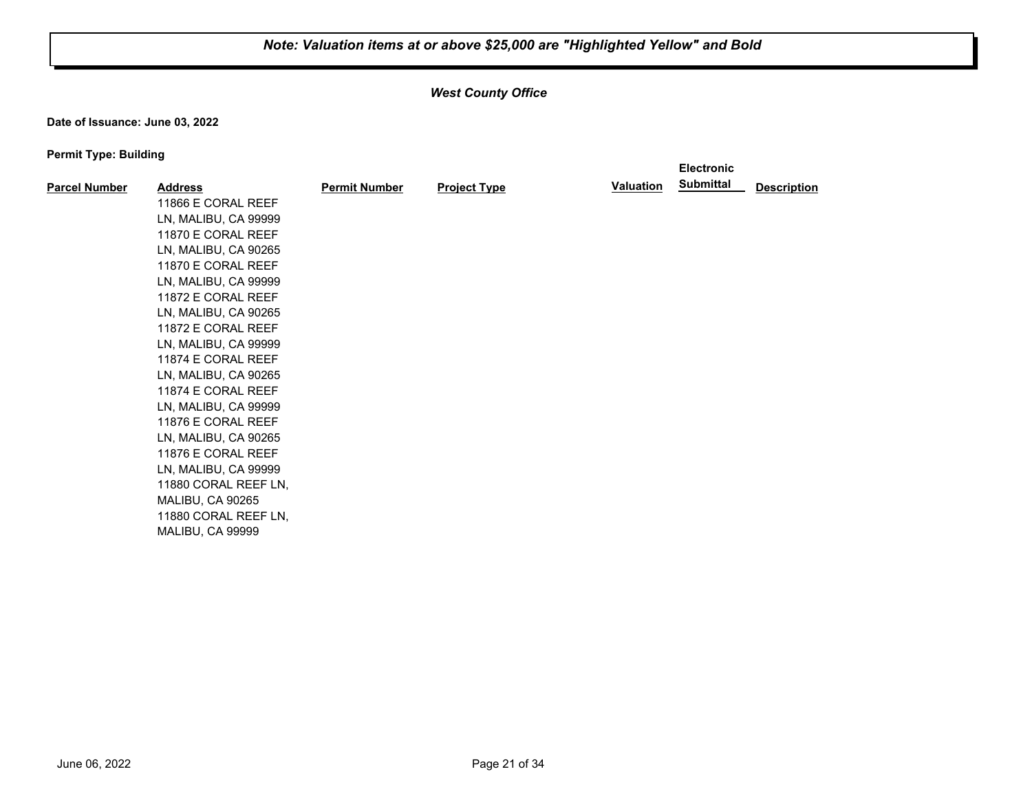## *West County Office*

**Date of Issuance: June 03, 2022**

|                      |                      |                      |                     |                  | <b>Electronic</b> |                    |
|----------------------|----------------------|----------------------|---------------------|------------------|-------------------|--------------------|
| <b>Parcel Number</b> | <b>Address</b>       | <b>Permit Number</b> | <b>Project Type</b> | <b>Valuation</b> | <b>Submittal</b>  | <b>Description</b> |
|                      | 11866 E CORAL REEF   |                      |                     |                  |                   |                    |
|                      | LN, MALIBU, CA 99999 |                      |                     |                  |                   |                    |
|                      | 11870 E CORAL REEF   |                      |                     |                  |                   |                    |
|                      | LN, MALIBU, CA 90265 |                      |                     |                  |                   |                    |
|                      | 11870 E CORAL REEF   |                      |                     |                  |                   |                    |
|                      | LN, MALIBU, CA 99999 |                      |                     |                  |                   |                    |
|                      | 11872 E CORAL REEF   |                      |                     |                  |                   |                    |
|                      | LN, MALIBU, CA 90265 |                      |                     |                  |                   |                    |
|                      | 11872 E CORAL REEF   |                      |                     |                  |                   |                    |
|                      | LN, MALIBU, CA 99999 |                      |                     |                  |                   |                    |
|                      | 11874 E CORAL REEF   |                      |                     |                  |                   |                    |
|                      | LN, MALIBU, CA 90265 |                      |                     |                  |                   |                    |
|                      | 11874 E CORAL REEF   |                      |                     |                  |                   |                    |
|                      | LN, MALIBU, CA 99999 |                      |                     |                  |                   |                    |
|                      | 11876 E CORAL REEF   |                      |                     |                  |                   |                    |
|                      | LN, MALIBU, CA 90265 |                      |                     |                  |                   |                    |
|                      | 11876 E CORAL REEF   |                      |                     |                  |                   |                    |
|                      | LN, MALIBU, CA 99999 |                      |                     |                  |                   |                    |
|                      | 11880 CORAL REEF LN, |                      |                     |                  |                   |                    |
|                      | MALIBU, CA 90265     |                      |                     |                  |                   |                    |
|                      | 11880 CORAL REEF LN, |                      |                     |                  |                   |                    |
|                      | MALIBU, CA 99999     |                      |                     |                  |                   |                    |
|                      |                      |                      |                     |                  |                   |                    |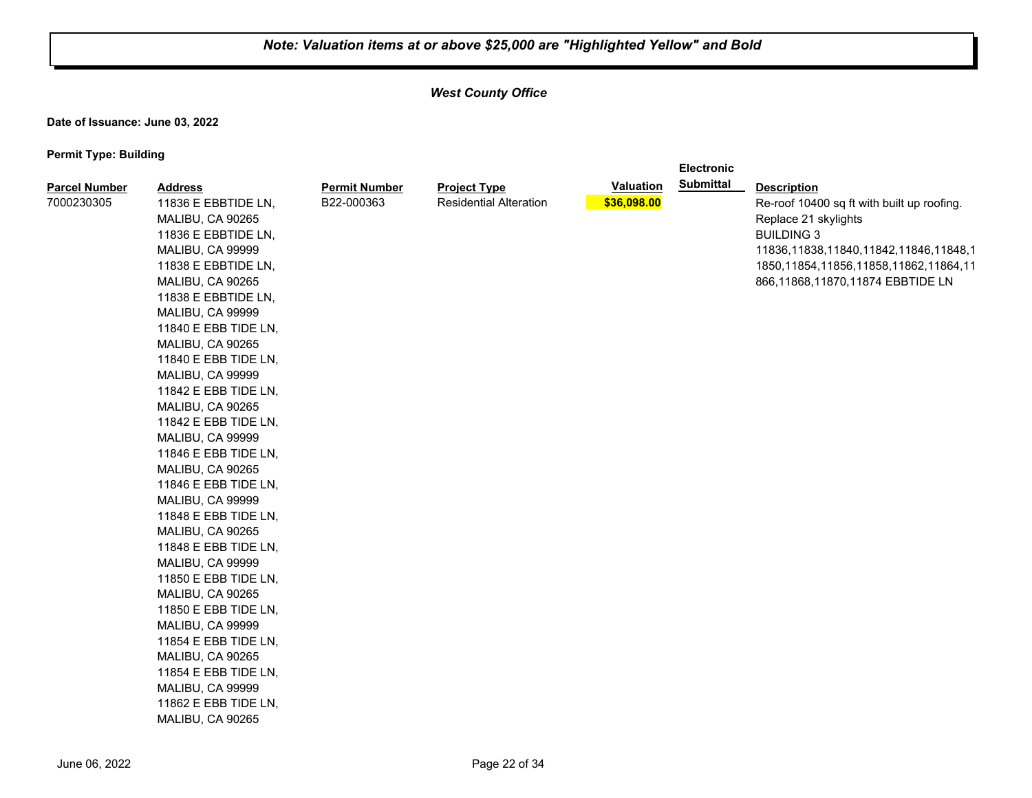**Electronic** 

## *West County Office*

**Date of Issuance: June 03, 2022**

| <b>Parcel Number</b> | <b>Address</b>       | <b>Permit Number</b> | <b>Project Type</b>           | <b>Valuation</b> | <b>Submittal</b> | <b>Description</b>                          |
|----------------------|----------------------|----------------------|-------------------------------|------------------|------------------|---------------------------------------------|
| 7000230305           | 11836 E EBBTIDE LN,  | B22-000363           | <b>Residential Alteration</b> | \$36,098.00      |                  | Re-roof 10400 sq ft with built up roofing.  |
|                      | MALIBU, CA 90265     |                      |                               |                  |                  | Replace 21 skylights                        |
|                      | 11836 E EBBTIDE LN,  |                      |                               |                  |                  | <b>BUILDING 3</b>                           |
|                      | MALIBU, CA 99999     |                      |                               |                  |                  | 11836, 11838, 11840, 11842, 11846, 11848, 1 |
|                      | 11838 E EBBTIDE LN,  |                      |                               |                  |                  | 1850, 11854, 11856, 11858, 11862, 11864, 11 |
|                      | MALIBU, CA 90265     |                      |                               |                  |                  | 866,11868,11870,11874 EBBTIDE LN            |
|                      | 11838 E EBBTIDE LN,  |                      |                               |                  |                  |                                             |
|                      | MALIBU, CA 99999     |                      |                               |                  |                  |                                             |
|                      | 11840 E EBB TIDE LN, |                      |                               |                  |                  |                                             |
|                      | MALIBU, CA 90265     |                      |                               |                  |                  |                                             |
|                      | 11840 E EBB TIDE LN, |                      |                               |                  |                  |                                             |
|                      | MALIBU, CA 99999     |                      |                               |                  |                  |                                             |
|                      | 11842 E EBB TIDE LN, |                      |                               |                  |                  |                                             |
|                      | MALIBU, CA 90265     |                      |                               |                  |                  |                                             |
|                      | 11842 E EBB TIDE LN, |                      |                               |                  |                  |                                             |
|                      | MALIBU, CA 99999     |                      |                               |                  |                  |                                             |
|                      | 11846 E EBB TIDE LN, |                      |                               |                  |                  |                                             |
|                      | MALIBU, CA 90265     |                      |                               |                  |                  |                                             |
|                      | 11846 E EBB TIDE LN, |                      |                               |                  |                  |                                             |
|                      | MALIBU, CA 99999     |                      |                               |                  |                  |                                             |
|                      | 11848 E EBB TIDE LN, |                      |                               |                  |                  |                                             |
|                      | MALIBU, CA 90265     |                      |                               |                  |                  |                                             |
|                      | 11848 E EBB TIDE LN, |                      |                               |                  |                  |                                             |
|                      | MALIBU, CA 99999     |                      |                               |                  |                  |                                             |
|                      | 11850 E EBB TIDE LN, |                      |                               |                  |                  |                                             |
|                      | MALIBU, CA 90265     |                      |                               |                  |                  |                                             |
|                      | 11850 E EBB TIDE LN, |                      |                               |                  |                  |                                             |
|                      | MALIBU, CA 99999     |                      |                               |                  |                  |                                             |
|                      | 11854 E EBB TIDE LN, |                      |                               |                  |                  |                                             |
|                      | MALIBU, CA 90265     |                      |                               |                  |                  |                                             |
|                      | 11854 E EBB TIDE LN, |                      |                               |                  |                  |                                             |
|                      | MALIBU, CA 99999     |                      |                               |                  |                  |                                             |
|                      | 11862 E EBB TIDE LN, |                      |                               |                  |                  |                                             |
|                      | MALIBU, CA 90265     |                      |                               |                  |                  |                                             |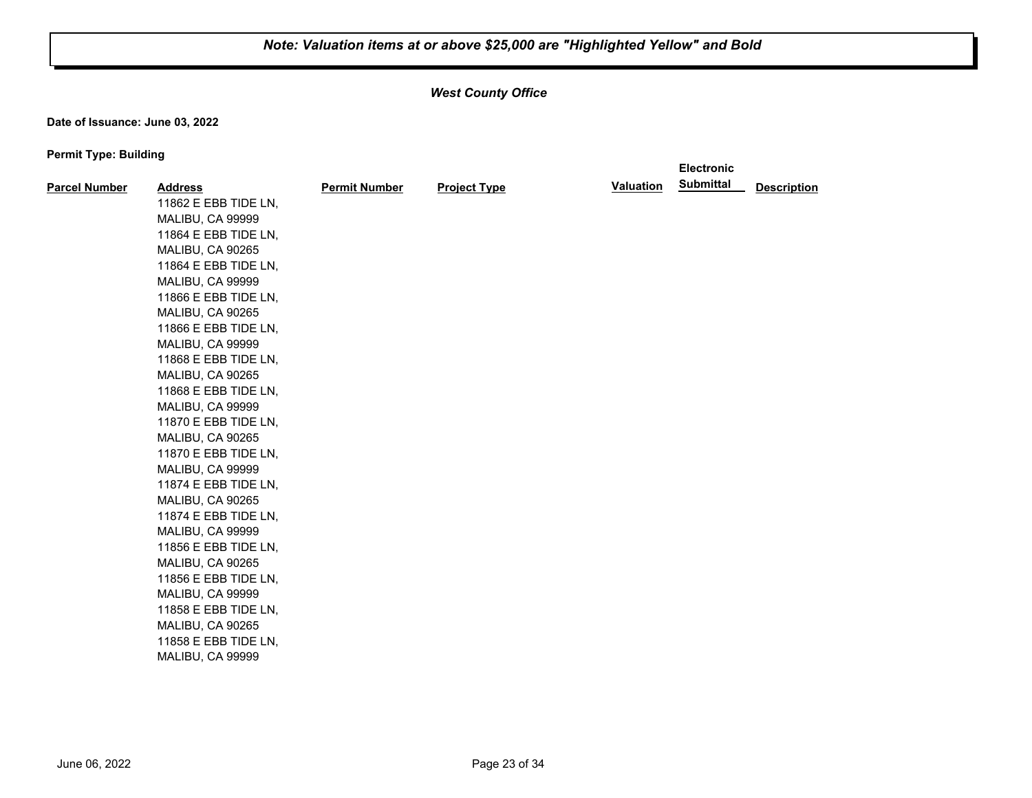**Electronic** 

## *West County Office*

**Date of Issuance: June 03, 2022**

| <b>Parcel Number</b> | <b>Address</b>       | <b>Permit Number</b> | <b>Project Type</b> | <b>Valuation</b> | <b>Submittal</b> | <b>Description</b> |
|----------------------|----------------------|----------------------|---------------------|------------------|------------------|--------------------|
|                      | 11862 E EBB TIDE LN, |                      |                     |                  |                  |                    |
|                      | MALIBU, CA 99999     |                      |                     |                  |                  |                    |
|                      | 11864 E EBB TIDE LN, |                      |                     |                  |                  |                    |
|                      | MALIBU, CA 90265     |                      |                     |                  |                  |                    |
|                      | 11864 E EBB TIDE LN, |                      |                     |                  |                  |                    |
|                      | MALIBU, CA 99999     |                      |                     |                  |                  |                    |
|                      | 11866 E EBB TIDE LN, |                      |                     |                  |                  |                    |
|                      | MALIBU, CA 90265     |                      |                     |                  |                  |                    |
|                      | 11866 E EBB TIDE LN, |                      |                     |                  |                  |                    |
|                      | MALIBU, CA 99999     |                      |                     |                  |                  |                    |
|                      | 11868 E EBB TIDE LN, |                      |                     |                  |                  |                    |
|                      | MALIBU, CA 90265     |                      |                     |                  |                  |                    |
|                      | 11868 E EBB TIDE LN, |                      |                     |                  |                  |                    |
|                      | MALIBU, CA 99999     |                      |                     |                  |                  |                    |
|                      | 11870 E EBB TIDE LN, |                      |                     |                  |                  |                    |
|                      | MALIBU, CA 90265     |                      |                     |                  |                  |                    |
|                      | 11870 E EBB TIDE LN, |                      |                     |                  |                  |                    |
|                      | MALIBU, CA 99999     |                      |                     |                  |                  |                    |
|                      | 11874 E EBB TIDE LN, |                      |                     |                  |                  |                    |
|                      | MALIBU, CA 90265     |                      |                     |                  |                  |                    |
|                      | 11874 E EBB TIDE LN, |                      |                     |                  |                  |                    |
|                      | MALIBU, CA 99999     |                      |                     |                  |                  |                    |
|                      | 11856 E EBB TIDE LN, |                      |                     |                  |                  |                    |
|                      | MALIBU, CA 90265     |                      |                     |                  |                  |                    |
|                      | 11856 E EBB TIDE LN, |                      |                     |                  |                  |                    |
|                      | MALIBU, CA 99999     |                      |                     |                  |                  |                    |
|                      | 11858 E EBB TIDE LN, |                      |                     |                  |                  |                    |
|                      | MALIBU, CA 90265     |                      |                     |                  |                  |                    |
|                      | 11858 E EBB TIDE LN, |                      |                     |                  |                  |                    |
|                      | MALIBU, CA 99999     |                      |                     |                  |                  |                    |
|                      |                      |                      |                     |                  |                  |                    |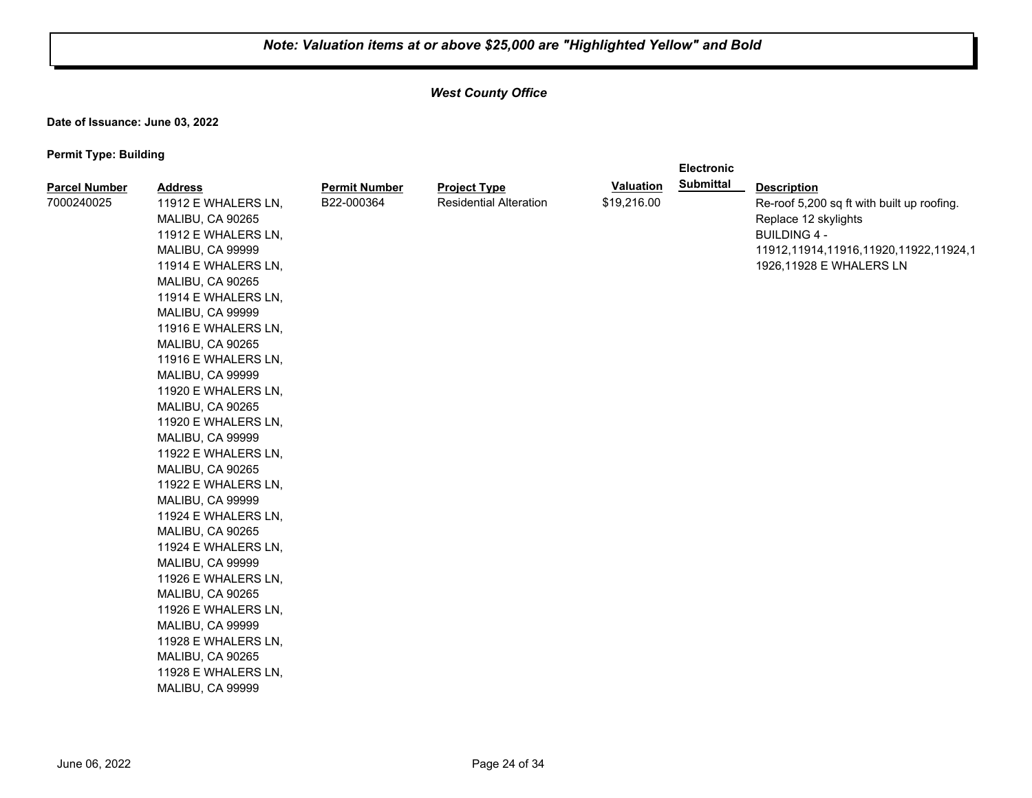**Electronic** 

## *West County Office*

**Date of Issuance: June 03, 2022**

| Replace 12 skylights<br>MALIBU, CA 90265<br>11912 E WHALERS LN,<br><b>BUILDING 4 -</b><br>MALIBU, CA 99999<br>11912, 11914, 11916, 11920, 11922, 11924, 1<br>1926,11928 E WHALERS LN<br>11914 E WHALERS LN,<br>MALIBU, CA 90265<br>11914 E WHALERS LN,<br>MALIBU, CA 99999<br>11916 E WHALERS LN,<br>MALIBU, CA 90265<br>11916 E WHALERS LN,<br>MALIBU, CA 99999<br>11920 E WHALERS LN,<br>MALIBU, CA 90265<br>11920 E WHALERS LN,<br>MALIBU, CA 99999<br>11922 E WHALERS LN,<br>MALIBU, CA 90265<br>11922 E WHALERS LN,<br>MALIBU, CA 99999<br>11924 E WHALERS LN,<br>MALIBU, CA 90265<br>11924 E WHALERS LN,<br>MALIBU, CA 99999<br>11926 E WHALERS LN,<br>MALIBU, CA 90265<br>11926 E WHALERS LN,<br>MALIBU, CA 99999<br>11928 E WHALERS LN,<br>MALIBU, CA 90265<br>11928 E WHALERS LN,<br>MALIBU, CA 99999 |  |
|----------------------------------------------------------------------------------------------------------------------------------------------------------------------------------------------------------------------------------------------------------------------------------------------------------------------------------------------------------------------------------------------------------------------------------------------------------------------------------------------------------------------------------------------------------------------------------------------------------------------------------------------------------------------------------------------------------------------------------------------------------------------------------------------------------------|--|
|----------------------------------------------------------------------------------------------------------------------------------------------------------------------------------------------------------------------------------------------------------------------------------------------------------------------------------------------------------------------------------------------------------------------------------------------------------------------------------------------------------------------------------------------------------------------------------------------------------------------------------------------------------------------------------------------------------------------------------------------------------------------------------------------------------------|--|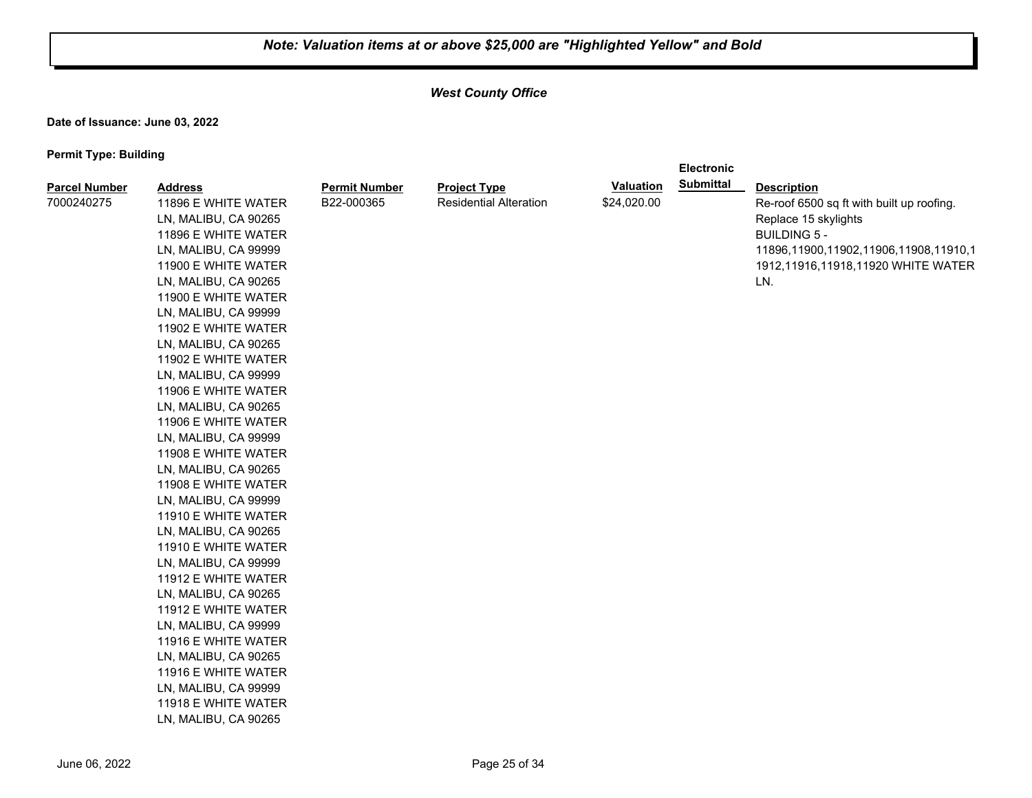**Electronic** 

## *West County Office*

**Date of Issuance: June 03, 2022**

| <b>Parcel Number</b> | <b>Address</b>       | <b>Permit Number</b> | <b>Project Type</b>           | <b>Valuation</b> | <b>Submittal</b> | <b>Description</b>                        |
|----------------------|----------------------|----------------------|-------------------------------|------------------|------------------|-------------------------------------------|
| 7000240275           | 11896 E WHITE WATER  | B22-000365           | <b>Residential Alteration</b> | \$24,020.00      |                  | Re-roof 6500 sq ft with built up roofing. |
|                      | LN, MALIBU, CA 90265 |                      |                               |                  |                  | Replace 15 skylights                      |
|                      | 11896 E WHITE WATER  |                      |                               |                  |                  | <b>BUILDING 5 -</b>                       |
|                      | LN, MALIBU, CA 99999 |                      |                               |                  |                  | 11896,11900,11902,11906,11908,11910,1     |
|                      | 11900 E WHITE WATER  |                      |                               |                  |                  | 1912,11916,11918,11920 WHITE WATER        |
|                      | LN, MALIBU, CA 90265 |                      |                               |                  |                  | LN.                                       |
|                      | 11900 E WHITE WATER  |                      |                               |                  |                  |                                           |
|                      | LN, MALIBU, CA 99999 |                      |                               |                  |                  |                                           |
|                      | 11902 E WHITE WATER  |                      |                               |                  |                  |                                           |
|                      | LN, MALIBU, CA 90265 |                      |                               |                  |                  |                                           |
|                      | 11902 E WHITE WATER  |                      |                               |                  |                  |                                           |
|                      | LN, MALIBU, CA 99999 |                      |                               |                  |                  |                                           |
|                      | 11906 E WHITE WATER  |                      |                               |                  |                  |                                           |
|                      | LN, MALIBU, CA 90265 |                      |                               |                  |                  |                                           |
|                      | 11906 E WHITE WATER  |                      |                               |                  |                  |                                           |
|                      | LN, MALIBU, CA 99999 |                      |                               |                  |                  |                                           |
|                      | 11908 E WHITE WATER  |                      |                               |                  |                  |                                           |
|                      | LN, MALIBU, CA 90265 |                      |                               |                  |                  |                                           |
|                      | 11908 E WHITE WATER  |                      |                               |                  |                  |                                           |
|                      | LN, MALIBU, CA 99999 |                      |                               |                  |                  |                                           |
|                      | 11910 E WHITE WATER  |                      |                               |                  |                  |                                           |
|                      | LN, MALIBU, CA 90265 |                      |                               |                  |                  |                                           |
|                      | 11910 E WHITE WATER  |                      |                               |                  |                  |                                           |
|                      | LN, MALIBU, CA 99999 |                      |                               |                  |                  |                                           |
|                      | 11912 E WHITE WATER  |                      |                               |                  |                  |                                           |
|                      | LN, MALIBU, CA 90265 |                      |                               |                  |                  |                                           |
|                      | 11912 E WHITE WATER  |                      |                               |                  |                  |                                           |
|                      | LN, MALIBU, CA 99999 |                      |                               |                  |                  |                                           |
|                      | 11916 E WHITE WATER  |                      |                               |                  |                  |                                           |
|                      | LN, MALIBU, CA 90265 |                      |                               |                  |                  |                                           |
|                      | 11916 E WHITE WATER  |                      |                               |                  |                  |                                           |
|                      | LN, MALIBU, CA 99999 |                      |                               |                  |                  |                                           |
|                      | 11918 E WHITE WATER  |                      |                               |                  |                  |                                           |
|                      | LN, MALIBU, CA 90265 |                      |                               |                  |                  |                                           |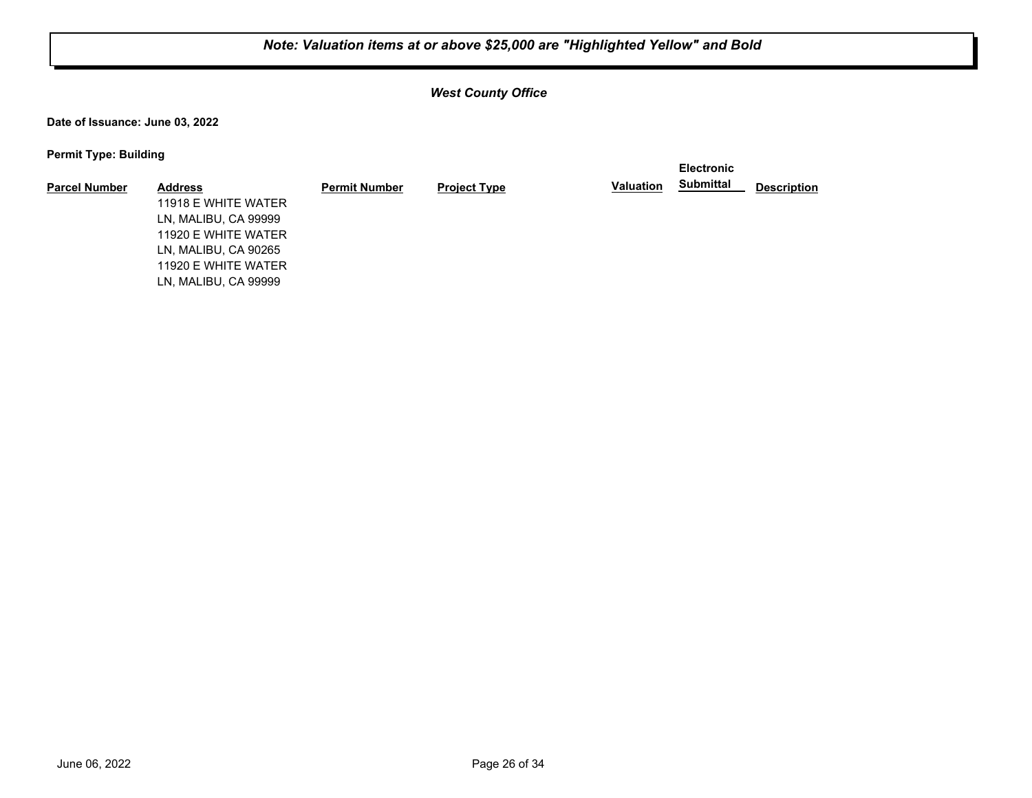## *West County Office*

**Date of Issuance: June 03, 2022**

| - -                  |                      |                      |                     |                  | <b>Electronic</b> |                    |
|----------------------|----------------------|----------------------|---------------------|------------------|-------------------|--------------------|
| <b>Parcel Number</b> | <b>Address</b>       | <b>Permit Number</b> | <b>Project Type</b> | <b>Valuation</b> | <b>Submittal</b>  | <b>Description</b> |
|                      | 11918 E WHITE WATER  |                      |                     |                  |                   |                    |
|                      | LN, MALIBU, CA 99999 |                      |                     |                  |                   |                    |
|                      | 11920 E WHITE WATER  |                      |                     |                  |                   |                    |
|                      | LN, MALIBU, CA 90265 |                      |                     |                  |                   |                    |
|                      | 11920 E WHITE WATER  |                      |                     |                  |                   |                    |
|                      | LN, MALIBU, CA 99999 |                      |                     |                  |                   |                    |
|                      |                      |                      |                     |                  |                   |                    |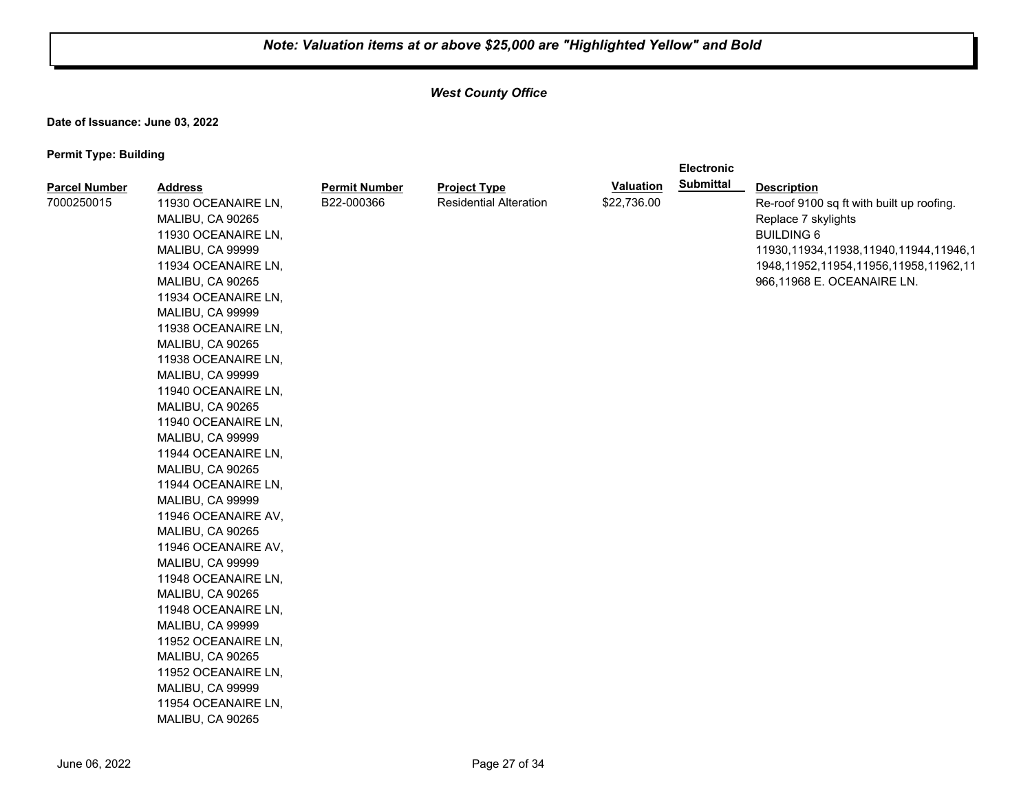**Electronic** 

## *West County Office*

**Date of Issuance: June 03, 2022**

| <b>Parcel Number</b> | <b>Address</b>          | <b>Permit Number</b> | <b>Project Type</b>           | <b>Valuation</b> | <b>Submittal</b> | <b>Description</b>                          |
|----------------------|-------------------------|----------------------|-------------------------------|------------------|------------------|---------------------------------------------|
| 7000250015           | 11930 OCEANAIRE LN,     | B22-000366           | <b>Residential Alteration</b> | \$22,736.00      |                  | Re-roof 9100 sq ft with built up roofing.   |
|                      | MALIBU, CA 90265        |                      |                               |                  |                  | Replace 7 skylights                         |
|                      | 11930 OCEANAIRE LN,     |                      |                               |                  |                  | <b>BUILDING 6</b>                           |
|                      | <b>MALIBU, CA 99999</b> |                      |                               |                  |                  | 11930, 11934, 11938, 11940, 11944, 11946, 1 |
|                      | 11934 OCEANAIRE LN,     |                      |                               |                  |                  | 1948, 11952, 11954, 11956, 11958, 11962, 11 |
|                      | MALIBU, CA 90265        |                      |                               |                  |                  | 966,11968 E. OCEANAIRE LN.                  |
|                      | 11934 OCEANAIRE LN,     |                      |                               |                  |                  |                                             |
|                      | MALIBU, CA 99999        |                      |                               |                  |                  |                                             |
|                      | 11938 OCEANAIRE LN,     |                      |                               |                  |                  |                                             |
|                      | MALIBU, CA 90265        |                      |                               |                  |                  |                                             |
|                      | 11938 OCEANAIRE LN,     |                      |                               |                  |                  |                                             |
|                      | <b>MALIBU, CA 99999</b> |                      |                               |                  |                  |                                             |
|                      | 11940 OCEANAIRE LN,     |                      |                               |                  |                  |                                             |
|                      | MALIBU, CA 90265        |                      |                               |                  |                  |                                             |
|                      | 11940 OCEANAIRE LN,     |                      |                               |                  |                  |                                             |
|                      | MALIBU, CA 99999        |                      |                               |                  |                  |                                             |
|                      | 11944 OCEANAIRE LN,     |                      |                               |                  |                  |                                             |
|                      | MALIBU, CA 90265        |                      |                               |                  |                  |                                             |
|                      | 11944 OCEANAIRE LN,     |                      |                               |                  |                  |                                             |
|                      | MALIBU, CA 99999        |                      |                               |                  |                  |                                             |
|                      | 11946 OCEANAIRE AV,     |                      |                               |                  |                  |                                             |
|                      | MALIBU, CA 90265        |                      |                               |                  |                  |                                             |
|                      | 11946 OCEANAIRE AV,     |                      |                               |                  |                  |                                             |
|                      | MALIBU, CA 99999        |                      |                               |                  |                  |                                             |
|                      | 11948 OCEANAIRE LN,     |                      |                               |                  |                  |                                             |
|                      | MALIBU, CA 90265        |                      |                               |                  |                  |                                             |
|                      | 11948 OCEANAIRE LN,     |                      |                               |                  |                  |                                             |
|                      | MALIBU, CA 99999        |                      |                               |                  |                  |                                             |
|                      | 11952 OCEANAIRE LN,     |                      |                               |                  |                  |                                             |
|                      | MALIBU, CA 90265        |                      |                               |                  |                  |                                             |
|                      | 11952 OCEANAIRE LN,     |                      |                               |                  |                  |                                             |
|                      | MALIBU, CA 99999        |                      |                               |                  |                  |                                             |
|                      | 11954 OCEANAIRE LN,     |                      |                               |                  |                  |                                             |
|                      | MALIBU, CA 90265        |                      |                               |                  |                  |                                             |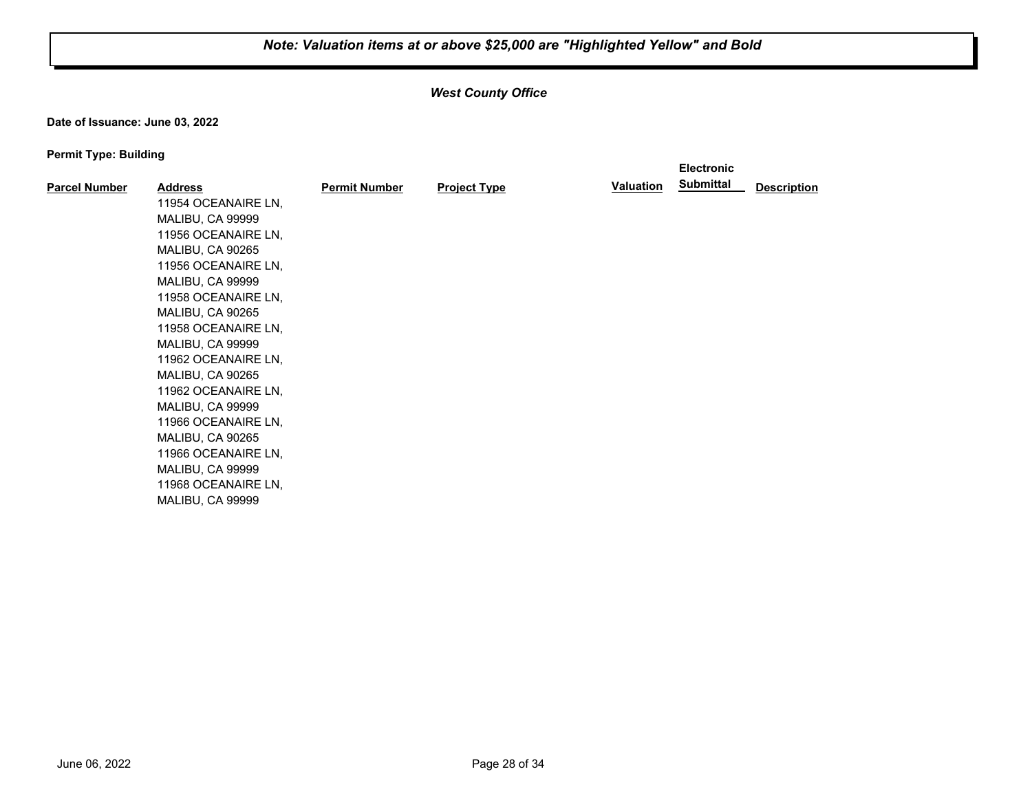## *West County Office*

**Date of Issuance: June 03, 2022**

|                      |                         |                      |                     |                  | <b>Electronic</b> |                    |
|----------------------|-------------------------|----------------------|---------------------|------------------|-------------------|--------------------|
| <b>Parcel Number</b> | <b>Address</b>          | <b>Permit Number</b> | <b>Project Type</b> | <b>Valuation</b> | <b>Submittal</b>  | <b>Description</b> |
|                      | 11954 OCEANAIRE LN,     |                      |                     |                  |                   |                    |
|                      | MALIBU, CA 99999        |                      |                     |                  |                   |                    |
|                      | 11956 OCEANAIRE LN,     |                      |                     |                  |                   |                    |
|                      | MALIBU, CA 90265        |                      |                     |                  |                   |                    |
|                      | 11956 OCEANAIRE LN,     |                      |                     |                  |                   |                    |
|                      | MALIBU, CA 99999        |                      |                     |                  |                   |                    |
|                      | 11958 OCEANAIRE LN,     |                      |                     |                  |                   |                    |
|                      | MALIBU, CA 90265        |                      |                     |                  |                   |                    |
|                      | 11958 OCEANAIRE LN,     |                      |                     |                  |                   |                    |
|                      | MALIBU, CA 99999        |                      |                     |                  |                   |                    |
|                      | 11962 OCEANAIRE LN,     |                      |                     |                  |                   |                    |
|                      | MALIBU, CA 90265        |                      |                     |                  |                   |                    |
|                      | 11962 OCEANAIRE LN,     |                      |                     |                  |                   |                    |
|                      | MALIBU, CA 99999        |                      |                     |                  |                   |                    |
|                      | 11966 OCEANAIRE LN,     |                      |                     |                  |                   |                    |
|                      | MALIBU, CA 90265        |                      |                     |                  |                   |                    |
|                      | 11966 OCEANAIRE LN,     |                      |                     |                  |                   |                    |
|                      | MALIBU, CA 99999        |                      |                     |                  |                   |                    |
|                      | 11968 OCEANAIRE LN,     |                      |                     |                  |                   |                    |
|                      | <b>MALIBU, CA 99999</b> |                      |                     |                  |                   |                    |
|                      |                         |                      |                     |                  |                   |                    |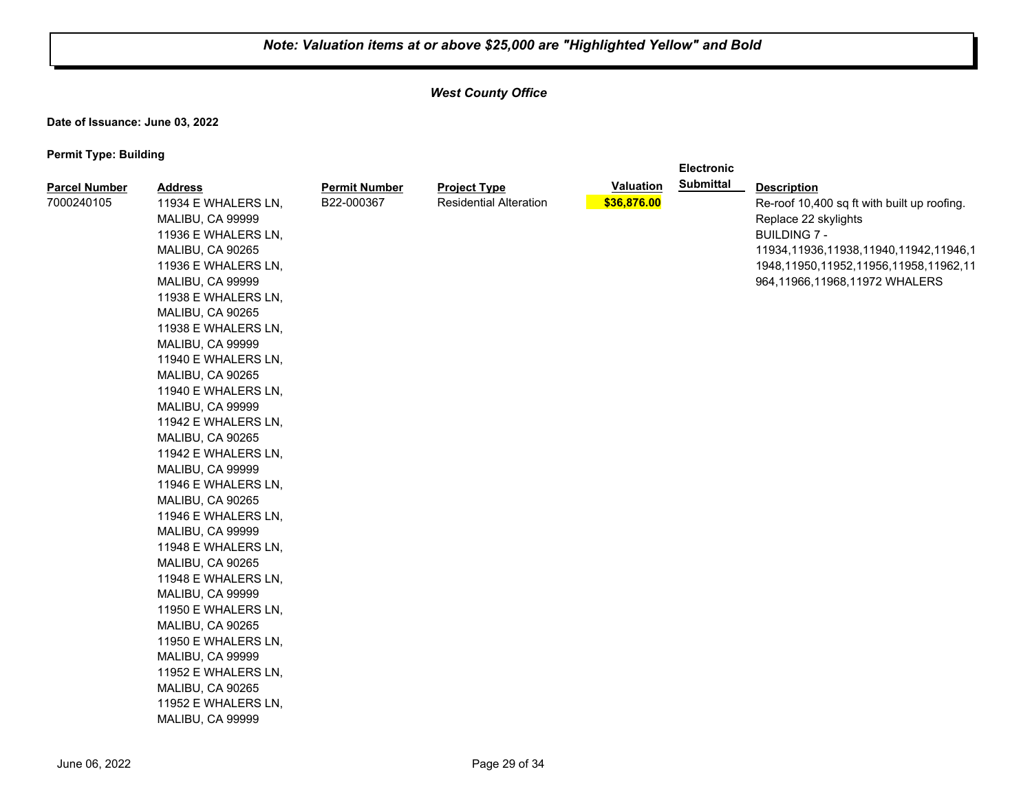**Electronic** 

## *West County Office*

**Date of Issuance: June 03, 2022**

| <b>Parcel Number</b> | <b>Address</b>          | <b>Permit Number</b> | <b>Project Type</b>           | <b>Valuation</b> | <b>Submittal</b> | <b>Description</b>                          |
|----------------------|-------------------------|----------------------|-------------------------------|------------------|------------------|---------------------------------------------|
| 7000240105           | 11934 E WHALERS LN,     | B22-000367           | <b>Residential Alteration</b> | \$36,876.00      |                  | Re-roof 10,400 sq ft with built up roofing. |
|                      | MALIBU, CA 99999        |                      |                               |                  |                  | Replace 22 skylights                        |
|                      | 11936 E WHALERS LN,     |                      |                               |                  |                  | <b>BUILDING 7 -</b>                         |
|                      | MALIBU, CA 90265        |                      |                               |                  |                  | 11934, 11936, 11938, 11940, 11942, 11946, 1 |
|                      | 11936 E WHALERS LN,     |                      |                               |                  |                  | 1948,11950,11952,11956,11958,11962,11       |
|                      | MALIBU, CA 99999        |                      |                               |                  |                  | 964,11966,11968,11972 WHALERS               |
|                      | 11938 E WHALERS LN,     |                      |                               |                  |                  |                                             |
|                      | MALIBU, CA 90265        |                      |                               |                  |                  |                                             |
|                      | 11938 E WHALERS LN,     |                      |                               |                  |                  |                                             |
|                      | MALIBU, CA 99999        |                      |                               |                  |                  |                                             |
|                      | 11940 E WHALERS LN,     |                      |                               |                  |                  |                                             |
|                      | MALIBU, CA 90265        |                      |                               |                  |                  |                                             |
|                      | 11940 E WHALERS LN,     |                      |                               |                  |                  |                                             |
|                      | MALIBU, CA 99999        |                      |                               |                  |                  |                                             |
|                      | 11942 E WHALERS LN,     |                      |                               |                  |                  |                                             |
|                      | MALIBU, CA 90265        |                      |                               |                  |                  |                                             |
|                      | 11942 E WHALERS LN,     |                      |                               |                  |                  |                                             |
|                      | MALIBU, CA 99999        |                      |                               |                  |                  |                                             |
|                      | 11946 E WHALERS LN,     |                      |                               |                  |                  |                                             |
|                      | MALIBU, CA 90265        |                      |                               |                  |                  |                                             |
|                      | 11946 E WHALERS LN,     |                      |                               |                  |                  |                                             |
|                      | MALIBU, CA 99999        |                      |                               |                  |                  |                                             |
|                      | 11948 E WHALERS LN,     |                      |                               |                  |                  |                                             |
|                      | MALIBU, CA 90265        |                      |                               |                  |                  |                                             |
|                      | 11948 E WHALERS LN,     |                      |                               |                  |                  |                                             |
|                      | MALIBU, CA 99999        |                      |                               |                  |                  |                                             |
|                      | 11950 E WHALERS LN,     |                      |                               |                  |                  |                                             |
|                      | MALIBU, CA 90265        |                      |                               |                  |                  |                                             |
|                      | 11950 E WHALERS LN,     |                      |                               |                  |                  |                                             |
|                      | MALIBU, CA 99999        |                      |                               |                  |                  |                                             |
|                      | 11952 E WHALERS LN,     |                      |                               |                  |                  |                                             |
|                      | MALIBU, CA 90265        |                      |                               |                  |                  |                                             |
|                      | 11952 E WHALERS LN,     |                      |                               |                  |                  |                                             |
|                      | <b>MALIBU, CA 99999</b> |                      |                               |                  |                  |                                             |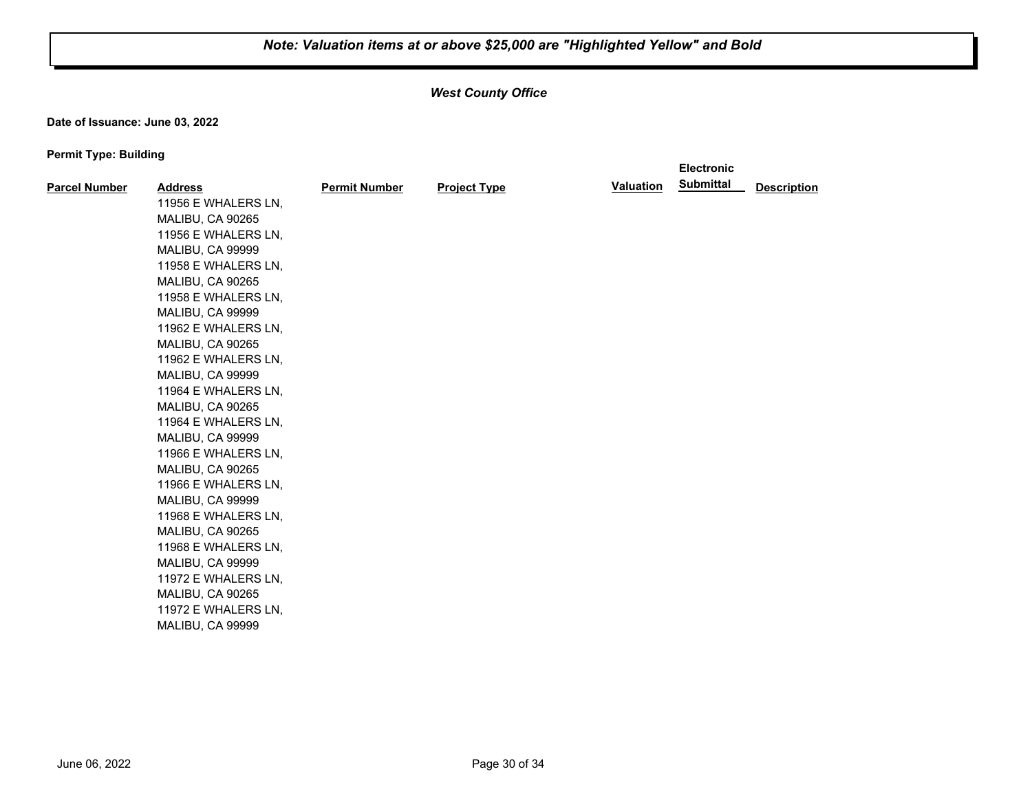**Electronic** 

## *West County Office*

**Date of Issuance: June 03, 2022**

| <b>Parcel Number</b> | <b>Address</b>      | <b>Permit Number</b> | <b>Project Type</b> | <b>Valuation</b> | <b>Submittal</b> | <b>Description</b> |
|----------------------|---------------------|----------------------|---------------------|------------------|------------------|--------------------|
|                      | 11956 E WHALERS LN, |                      |                     |                  |                  |                    |
|                      | MALIBU, CA 90265    |                      |                     |                  |                  |                    |
|                      | 11956 E WHALERS LN, |                      |                     |                  |                  |                    |
|                      | MALIBU, CA 99999    |                      |                     |                  |                  |                    |
|                      | 11958 E WHALERS LN, |                      |                     |                  |                  |                    |
|                      | MALIBU, CA 90265    |                      |                     |                  |                  |                    |
|                      | 11958 E WHALERS LN, |                      |                     |                  |                  |                    |
|                      | MALIBU, CA 99999    |                      |                     |                  |                  |                    |
|                      | 11962 E WHALERS LN, |                      |                     |                  |                  |                    |
|                      | MALIBU, CA 90265    |                      |                     |                  |                  |                    |
|                      | 11962 E WHALERS LN, |                      |                     |                  |                  |                    |
|                      | MALIBU, CA 99999    |                      |                     |                  |                  |                    |
|                      | 11964 E WHALERS LN, |                      |                     |                  |                  |                    |
|                      | MALIBU, CA 90265    |                      |                     |                  |                  |                    |
|                      | 11964 E WHALERS LN, |                      |                     |                  |                  |                    |
|                      | MALIBU, CA 99999    |                      |                     |                  |                  |                    |
|                      | 11966 E WHALERS LN, |                      |                     |                  |                  |                    |
|                      | MALIBU, CA 90265    |                      |                     |                  |                  |                    |
|                      | 11966 E WHALERS LN, |                      |                     |                  |                  |                    |
|                      | MALIBU, CA 99999    |                      |                     |                  |                  |                    |
|                      | 11968 E WHALERS LN, |                      |                     |                  |                  |                    |
|                      | MALIBU, CA 90265    |                      |                     |                  |                  |                    |
|                      | 11968 E WHALERS LN, |                      |                     |                  |                  |                    |
|                      | MALIBU, CA 99999    |                      |                     |                  |                  |                    |
|                      | 11972 E WHALERS LN, |                      |                     |                  |                  |                    |
|                      | MALIBU, CA 90265    |                      |                     |                  |                  |                    |
|                      | 11972 E WHALERS LN, |                      |                     |                  |                  |                    |
|                      | MALIBU, CA 99999    |                      |                     |                  |                  |                    |
|                      |                     |                      |                     |                  |                  |                    |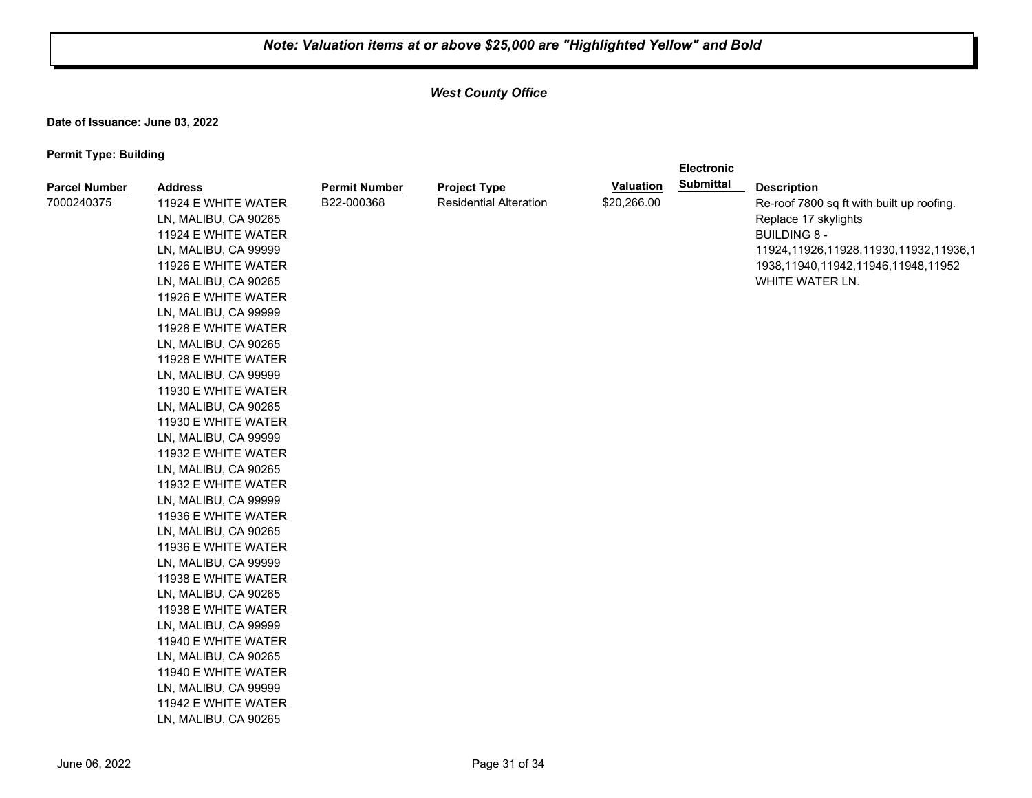**Electronic** 

## *West County Office*

**Date of Issuance: June 03, 2022**

| <b>Parcel Number</b> | <b>Address</b>       | <b>Permit Number</b> | <b>Project Type</b>           | <b>Valuation</b> | <b>Submittal</b> | <b>Description</b>                        |
|----------------------|----------------------|----------------------|-------------------------------|------------------|------------------|-------------------------------------------|
| 7000240375           | 11924 E WHITE WATER  | B22-000368           | <b>Residential Alteration</b> | \$20,266.00      |                  | Re-roof 7800 sq ft with built up roofing. |
|                      | LN, MALIBU, CA 90265 |                      |                               |                  |                  | Replace 17 skylights                      |
|                      | 11924 E WHITE WATER  |                      |                               |                  |                  | <b>BUILDING 8 -</b>                       |
|                      | LN, MALIBU, CA 99999 |                      |                               |                  |                  | 11924,11926,11928,11930,11932,11936,1     |
|                      | 11926 E WHITE WATER  |                      |                               |                  |                  | 1938,11940,11942,11946,11948,11952        |
|                      | LN, MALIBU, CA 90265 |                      |                               |                  |                  | WHITE WATER LN.                           |
|                      | 11926 E WHITE WATER  |                      |                               |                  |                  |                                           |
|                      | LN, MALIBU, CA 99999 |                      |                               |                  |                  |                                           |
|                      | 11928 E WHITE WATER  |                      |                               |                  |                  |                                           |
|                      | LN, MALIBU, CA 90265 |                      |                               |                  |                  |                                           |
|                      | 11928 E WHITE WATER  |                      |                               |                  |                  |                                           |
|                      | LN, MALIBU, CA 99999 |                      |                               |                  |                  |                                           |
|                      | 11930 E WHITE WATER  |                      |                               |                  |                  |                                           |
|                      | LN, MALIBU, CA 90265 |                      |                               |                  |                  |                                           |
|                      | 11930 E WHITE WATER  |                      |                               |                  |                  |                                           |
|                      | LN, MALIBU, CA 99999 |                      |                               |                  |                  |                                           |
|                      | 11932 E WHITE WATER  |                      |                               |                  |                  |                                           |
|                      | LN, MALIBU, CA 90265 |                      |                               |                  |                  |                                           |
|                      | 11932 E WHITE WATER  |                      |                               |                  |                  |                                           |
|                      | LN, MALIBU, CA 99999 |                      |                               |                  |                  |                                           |
|                      | 11936 E WHITE WATER  |                      |                               |                  |                  |                                           |
|                      | LN, MALIBU, CA 90265 |                      |                               |                  |                  |                                           |
|                      | 11936 E WHITE WATER  |                      |                               |                  |                  |                                           |
|                      | LN, MALIBU, CA 99999 |                      |                               |                  |                  |                                           |
|                      | 11938 E WHITE WATER  |                      |                               |                  |                  |                                           |
|                      | LN, MALIBU, CA 90265 |                      |                               |                  |                  |                                           |
|                      | 11938 E WHITE WATER  |                      |                               |                  |                  |                                           |
|                      | LN, MALIBU, CA 99999 |                      |                               |                  |                  |                                           |
|                      | 11940 E WHITE WATER  |                      |                               |                  |                  |                                           |
|                      | LN, MALIBU, CA 90265 |                      |                               |                  |                  |                                           |
|                      | 11940 E WHITE WATER  |                      |                               |                  |                  |                                           |
|                      | LN, MALIBU, CA 99999 |                      |                               |                  |                  |                                           |
|                      | 11942 E WHITE WATER  |                      |                               |                  |                  |                                           |
|                      | LN, MALIBU, CA 90265 |                      |                               |                  |                  |                                           |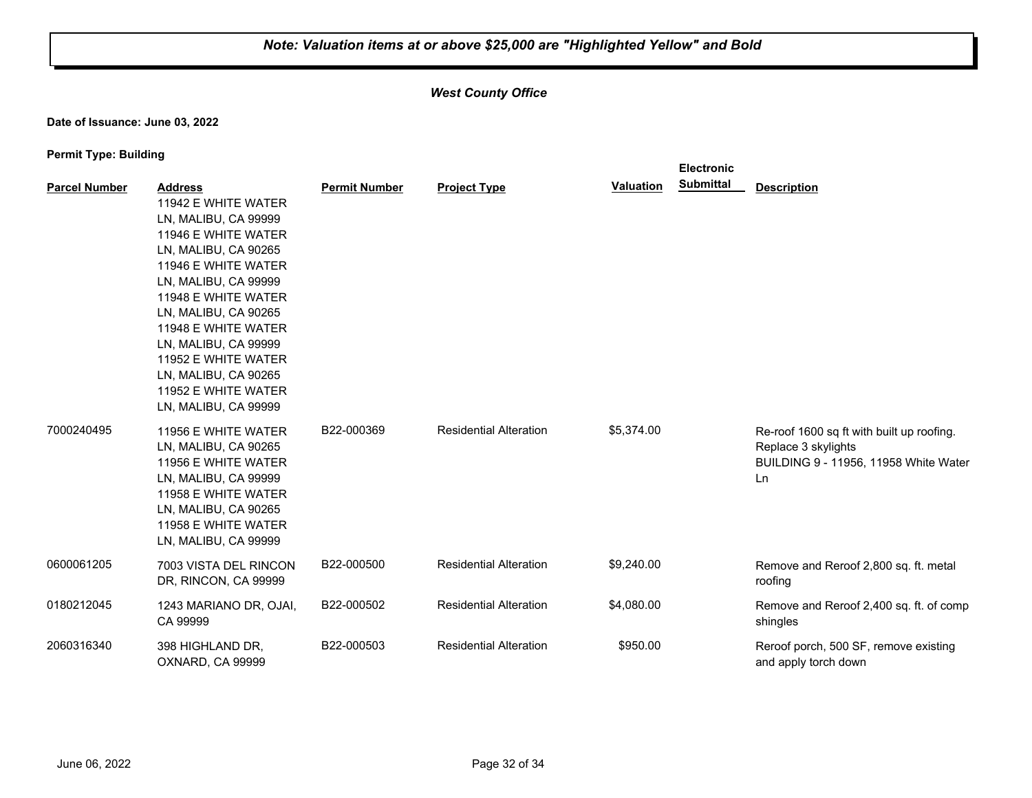## *West County Office*

**Date of Issuance: June 03, 2022**

|                      |                                                                                                                                                                                                                                                                                                                                                         |                      |                               |                  | <b>Electronic</b> |                                                                                                                 |
|----------------------|---------------------------------------------------------------------------------------------------------------------------------------------------------------------------------------------------------------------------------------------------------------------------------------------------------------------------------------------------------|----------------------|-------------------------------|------------------|-------------------|-----------------------------------------------------------------------------------------------------------------|
| <b>Parcel Number</b> | <b>Address</b><br>11942 E WHITE WATER<br>LN, MALIBU, CA 99999<br>11946 E WHITE WATER<br>LN, MALIBU, CA 90265<br>11946 E WHITE WATER<br>LN, MALIBU, CA 99999<br>11948 E WHITE WATER<br>LN, MALIBU, CA 90265<br>11948 E WHITE WATER<br>LN, MALIBU, CA 99999<br>11952 E WHITE WATER<br>LN, MALIBU, CA 90265<br>11952 E WHITE WATER<br>LN, MALIBU, CA 99999 | <b>Permit Number</b> | <b>Project Type</b>           | <b>Valuation</b> | <b>Submittal</b>  | <b>Description</b>                                                                                              |
| 7000240495           | 11956 E WHITE WATER<br>LN, MALIBU, CA 90265<br>11956 E WHITE WATER<br>LN, MALIBU, CA 99999<br>11958 E WHITE WATER<br>LN, MALIBU, CA 90265<br>11958 E WHITE WATER<br>LN, MALIBU, CA 99999                                                                                                                                                                | B22-000369           | <b>Residential Alteration</b> | \$5,374.00       |                   | Re-roof 1600 sq ft with built up roofing.<br>Replace 3 skylights<br>BUILDING 9 - 11956, 11958 White Water<br>Ln |
| 0600061205           | 7003 VISTA DEL RINCON<br>DR, RINCON, CA 99999                                                                                                                                                                                                                                                                                                           | B22-000500           | <b>Residential Alteration</b> | \$9,240.00       |                   | Remove and Reroof 2,800 sq. ft. metal<br>roofing                                                                |
| 0180212045           | 1243 MARIANO DR, OJAI,<br>CA 99999                                                                                                                                                                                                                                                                                                                      | B22-000502           | <b>Residential Alteration</b> | \$4,080.00       |                   | Remove and Reroof 2,400 sq. ft. of comp<br>shingles                                                             |
| 2060316340           | 398 HIGHLAND DR,<br>OXNARD, CA 99999                                                                                                                                                                                                                                                                                                                    | B22-000503           | <b>Residential Alteration</b> | \$950.00         |                   | Reroof porch, 500 SF, remove existing<br>and apply torch down                                                   |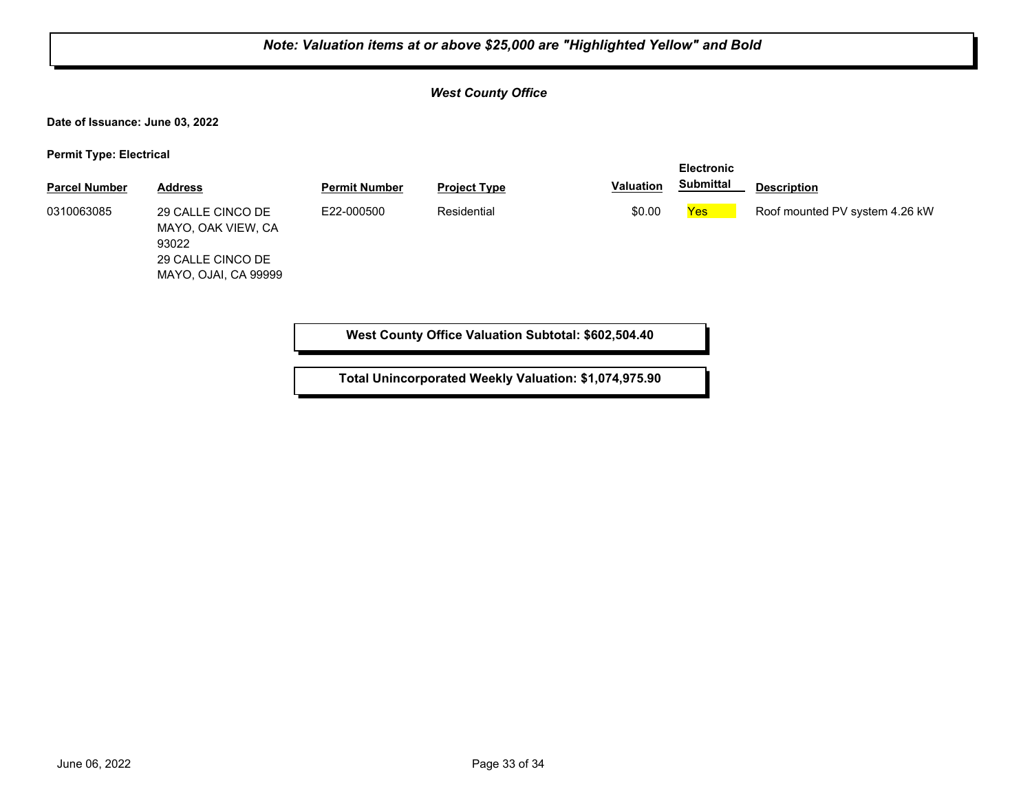# *Note: Valuation items at or above \$25,000 are "Highlighted Yellow" and Bold West County Office* **Date of Issuance: June 03, 2022 Permit Type: Electrical Parcel Number Address <b>Permit Number Project Type Valuation Submittal Description Electronic Submittal** 29 CALLE CINCO DE MAYO, OAK VIEW, CA 93022 29 CALLE CINCO DE MAYO, OJAI, CA 99999 0310063085 29 CALLE CINCO DE E22-000500 Residential **EXALG SOLO Yes Roof mounted PV system 4.26 kW West County Office Valuation Subtotal: \$602,504.40 Total Unincorporated Weekly Valuation: \$1,074,975.90**